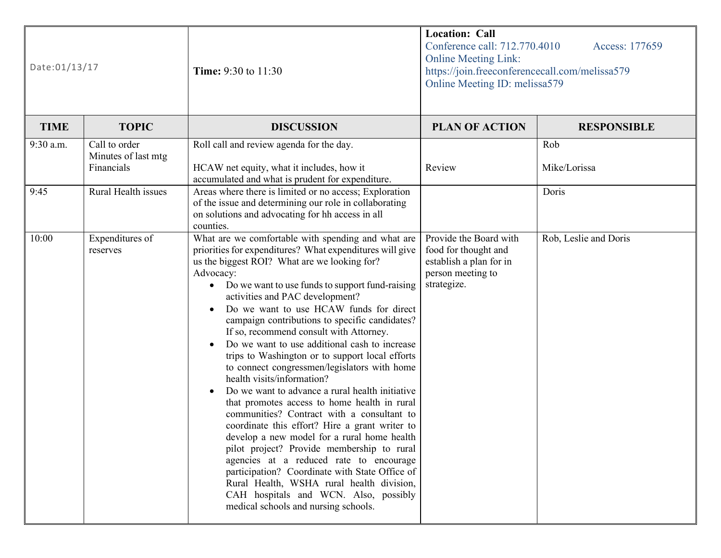| Date:01/13/17 |                                                    | <b>Time:</b> 9:30 to 11:30                                                                                                                                                                                                                                                                                                                                                                                                                                                                                                                                                                                                                                                                                                                                                                                                                                                                                                                                                                                                                                                                                                          | <b>Location: Call</b><br>Conference call: 712.770.4010<br>Access: 177659<br><b>Online Meeting Link:</b><br>https://join.freeconferencecall.com/melissa579<br>Online Meeting ID: melissa579 |                       |
|---------------|----------------------------------------------------|-------------------------------------------------------------------------------------------------------------------------------------------------------------------------------------------------------------------------------------------------------------------------------------------------------------------------------------------------------------------------------------------------------------------------------------------------------------------------------------------------------------------------------------------------------------------------------------------------------------------------------------------------------------------------------------------------------------------------------------------------------------------------------------------------------------------------------------------------------------------------------------------------------------------------------------------------------------------------------------------------------------------------------------------------------------------------------------------------------------------------------------|--------------------------------------------------------------------------------------------------------------------------------------------------------------------------------------------|-----------------------|
| <b>TIME</b>   | <b>TOPIC</b>                                       | <b>DISCUSSION</b>                                                                                                                                                                                                                                                                                                                                                                                                                                                                                                                                                                                                                                                                                                                                                                                                                                                                                                                                                                                                                                                                                                                   | <b>PLAN OF ACTION</b>                                                                                                                                                                      | <b>RESPONSIBLE</b>    |
| 9:30 a.m.     | Call to order<br>Minutes of last mtg<br>Financials | Roll call and review agenda for the day.<br>HCAW net equity, what it includes, how it<br>accumulated and what is prudent for expenditure.                                                                                                                                                                                                                                                                                                                                                                                                                                                                                                                                                                                                                                                                                                                                                                                                                                                                                                                                                                                           | Review                                                                                                                                                                                     | Rob<br>Mike/Lorissa   |
| 9:45          | Rural Health issues                                | Areas where there is limited or no access; Exploration<br>of the issue and determining our role in collaborating<br>on solutions and advocating for hh access in all<br>counties.                                                                                                                                                                                                                                                                                                                                                                                                                                                                                                                                                                                                                                                                                                                                                                                                                                                                                                                                                   |                                                                                                                                                                                            | Doris                 |
| 10:00         | Expenditures of<br>reserves                        | What are we comfortable with spending and what are<br>priorities for expenditures? What expenditures will give<br>us the biggest ROI? What are we looking for?<br>Advocacy:<br>Do we want to use funds to support fund-raising<br>$\bullet$<br>activities and PAC development?<br>Do we want to use HCAW funds for direct<br>campaign contributions to specific candidates?<br>If so, recommend consult with Attorney.<br>Do we want to use additional cash to increase<br>trips to Washington or to support local efforts<br>to connect congressmen/legislators with home<br>health visits/information?<br>Do we want to advance a rural health initiative<br>that promotes access to home health in rural<br>communities? Contract with a consultant to<br>coordinate this effort? Hire a grant writer to<br>develop a new model for a rural home health<br>pilot project? Provide membership to rural<br>agencies at a reduced rate to encourage<br>participation? Coordinate with State Office of<br>Rural Health, WSHA rural health division,<br>CAH hospitals and WCN. Also, possibly<br>medical schools and nursing schools. | Provide the Board with<br>food for thought and<br>establish a plan for in<br>person meeting to<br>strategize.                                                                              | Rob, Leslie and Doris |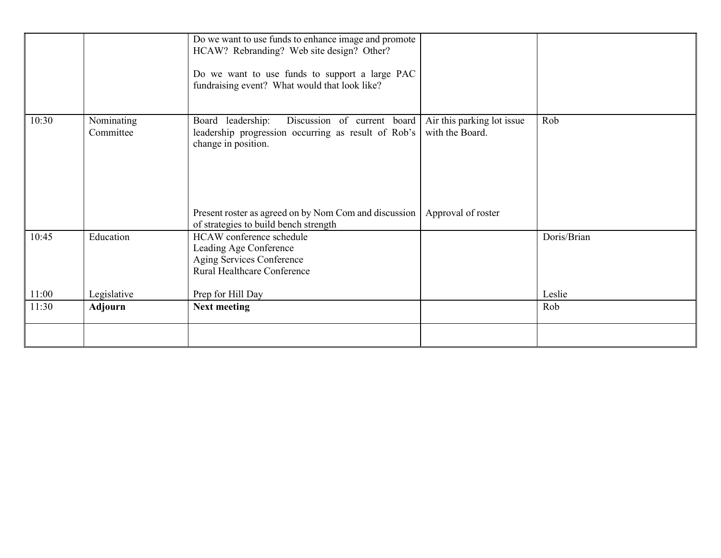|       |                         | Do we want to use funds to enhance image and promote<br>HCAW? Rebranding? Web site design? Other?<br>Do we want to use funds to support a large PAC<br>fundraising event? What would that look like? |                                                                     |             |
|-------|-------------------------|------------------------------------------------------------------------------------------------------------------------------------------------------------------------------------------------------|---------------------------------------------------------------------|-------------|
| 10:30 | Nominating<br>Committee | Discussion of current board<br>Board leadership:<br>leadership progression occurring as result of Rob's<br>change in position.<br>Present roster as agreed on by Nom Com and discussion              | Air this parking lot issue<br>with the Board.<br>Approval of roster | Rob         |
|       |                         | of strategies to build bench strength                                                                                                                                                                |                                                                     |             |
| 10:45 | Education               | HCAW conference schedule<br>Leading Age Conference<br>Aging Services Conference<br>Rural Healthcare Conference                                                                                       |                                                                     | Doris/Brian |
| 11:00 | Legislative             | Prep for Hill Day                                                                                                                                                                                    |                                                                     | Leslie      |
| 11:30 | <b>Adjourn</b>          | <b>Next meeting</b>                                                                                                                                                                                  |                                                                     | Rob         |
|       |                         |                                                                                                                                                                                                      |                                                                     |             |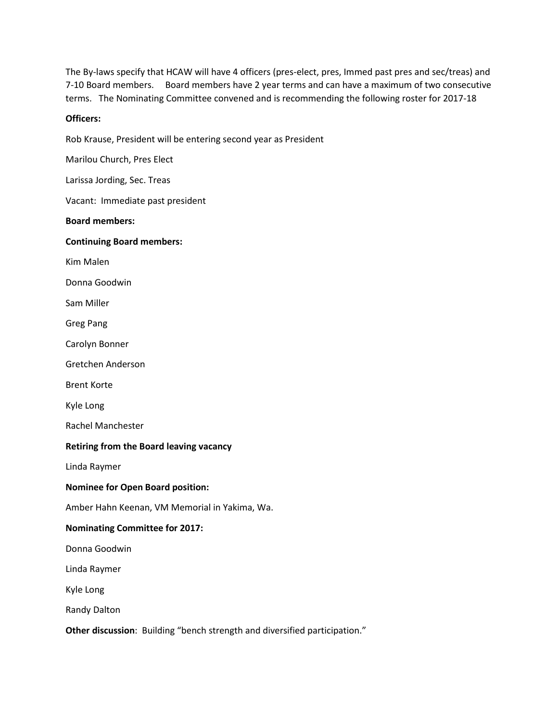The By-laws specify that HCAW will have 4 officers (pres-elect, pres, Immed past pres and sec/treas) and 7-10 Board members. Board members have 2 year terms and can have a maximum of two consecutive terms. The Nominating Committee convened and is recommending the following roster for 2017-18

#### **Officers:**

Rob Krause, President will be entering second year as President

Marilou Church, Pres Elect

Larissa Jording, Sec. Treas

Vacant: Immediate past president

#### **Board members:**

#### **Continuing Board members:**

Kim Malen

Donna Goodwin

Sam Miller

Greg Pang

Carolyn Bonner

Gretchen Anderson

Brent Korte

Kyle Long

Rachel Manchester

#### **Retiring from the Board leaving vacancy**

Linda Raymer

#### **Nominee for Open Board position:**

Amber Hahn Keenan, VM Memorial in Yakima, Wa.

#### **Nominating Committee for 2017:**

Donna Goodwin

Linda Raymer

Kyle Long

Randy Dalton

**Other discussion**: Building "bench strength and diversified participation."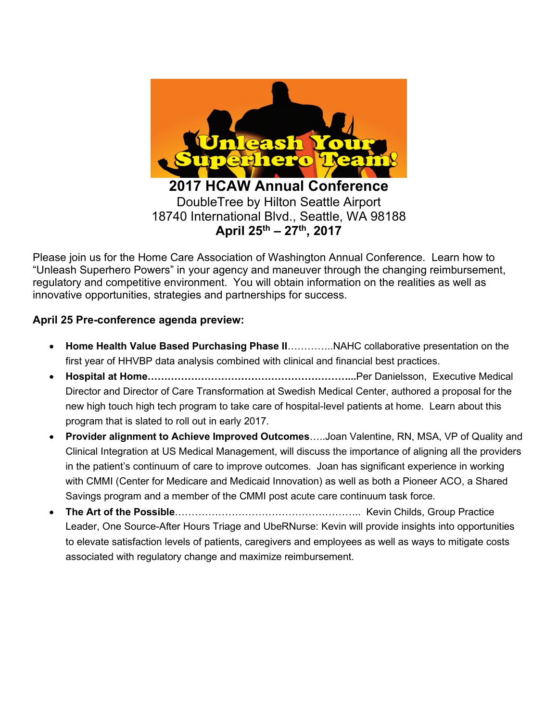

Please join us for the Home Care Association of Washington Annual Conference. Learn how to "Unleash Superhero Powers" in your agency and maneuver through the changing reimbursement, regulatory and competitive environment. You will obtain information on the realities as well as innovative opportunities, strategies and partnerships for success.

#### **April 25 Pre-conference agenda preview:**

- **Home Health Value Based Purchasing Phase II**…………..NAHC collaborative presentation on the first year of HHVBP data analysis combined with clinical and financial best practices.
- **Hospital at Home……………………………………………………...**Per Danielsson, Executive Medical Director and Director of Care Transformation at Swedish Medical Center, authored a proposal for the new high touch high tech program to take care of hospital-level patients at home. Learn about this program that is slated to roll out in early 2017.
- **Provider alignment to Achieve Improved Outcomes**…..Joan Valentine, RN, MSA, VP of Quality and Clinical Integration at US Medical Management, will discuss the importance of aligning all the providers in the patient's continuum of care to improve outcomes. Joan has significant experience in working with CMMI (Center for Medicare and Medicaid Innovation) as well as both a Pioneer ACO, a Shared Savings program and a member of the CMMI post acute care continuum task force.
- **The Art of the Possible**……………………………………………….. Kevin Childs, Group Practice Leader, One Source-After Hours Triage and UbeRNurse: Kevin will provide insights into opportunities to elevate satisfaction levels of patients, caregivers and employees as well as ways to mitigate costs associated with regulatory change and maximize reimbursement.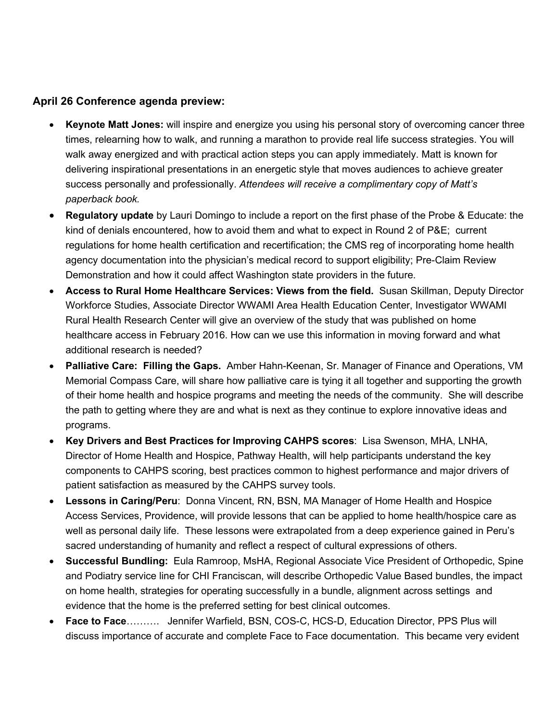#### **April 26 Conference agenda preview:**

- **Keynote Matt Jones:** will inspire and energize you using his personal story of overcoming cancer three times, relearning how to walk, and running a marathon to provide real life success strategies. You will walk away energized and with practical action steps you can apply immediately. Matt is known for delivering inspirational presentations in an energetic style that moves audiences to achieve greater success personally and professionally. *Attendees will receive a complimentary copy of Matt's paperback book.*
- **Regulatory update** by Lauri Domingo to include a report on the first phase of the Probe & Educate: the kind of denials encountered, how to avoid them and what to expect in Round 2 of P&E; current regulations for home health certification and recertification; the CMS reg of incorporating home health agency documentation into the physician's medical record to support eligibility; Pre-Claim Review Demonstration and how it could affect Washington state providers in the future.
- **Access to Rural Home Healthcare Services: Views from the field.** Susan Skillman, Deputy Director Workforce Studies, Associate Director WWAMI Area Health Education Center, Investigator WWAMI Rural Health Research Center will give an overview of the study that was published on home healthcare access in February 2016. How can we use this information in moving forward and what additional research is needed?
- **Palliative Care: Filling the Gaps.** Amber Hahn-Keenan, Sr. Manager of Finance and Operations, VM Memorial Compass Care, will share how palliative care is tying it all together and supporting the growth of their home health and hospice programs and meeting the needs of the community. She will describe the path to getting where they are and what is next as they continue to explore innovative ideas and programs.
- **Key Drivers and Best Practices for Improving CAHPS scores**: Lisa Swenson, MHA, LNHA, Director of Home Health and Hospice, Pathway Health, will help participants understand the key components to CAHPS scoring, best practices common to highest performance and major drivers of patient satisfaction as measured by the CAHPS survey tools.
- **Lessons in Caring/Peru**: Donna Vincent, RN, BSN, MA Manager of Home Health and Hospice Access Services, Providence, will provide lessons that can be applied to home health/hospice care as well as personal daily life. These lessons were extrapolated from a deep experience gained in Peru's sacred understanding of humanity and reflect a respect of cultural expressions of others.
- **Successful Bundling:** Eula Ramroop, MsHA, Regional Associate Vice President of Orthopedic, Spine and Podiatry service line for CHI Franciscan, will describe Orthopedic Value Based bundles, the impact on home health, strategies for operating successfully in a bundle, alignment across settings and evidence that the home is the preferred setting for best clinical outcomes.
- **Face to Face**………. Jennifer Warfield, BSN, COS-C, HCS-D, Education Director, PPS Plus will discuss importance of accurate and complete Face to Face documentation. This became very evident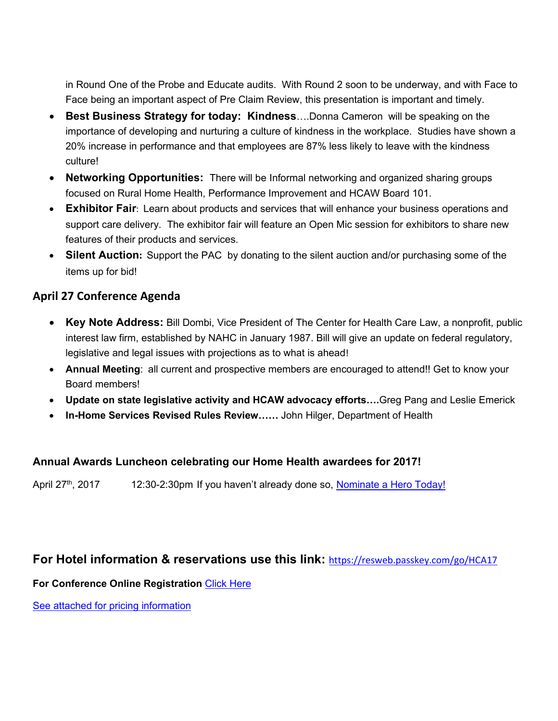in Round One of the Probe and Educate audits. With Round 2 soon to be underway, and with Face to Face being an important aspect of Pre Claim Review, this presentation is important and timely.

- **Best Business Strategy for today: Kindness**….Donna Cameron will be speaking on the importance of developing and nurturing a culture of kindness in the workplace. Studies have shown a 20% increase in performance and that employees are 87% less likely to leave with the kindness culture!
- **Networking Opportunities:** There will be Informal networking and organized sharing groups focused on Rural Home Health, Performance Improvement and HCAW Board 101.
- **Exhibitor Fair**: Learn about products and services that will enhance your business operations and support care delivery. The exhibitor fair will feature an Open Mic session for exhibitors to share new features of their products and services.
- **Silent Auction:** Support the PAC by donating to the silent auction and/or purchasing some of the items up for bid!

#### **April 27 Conference Agenda**

- **Key Note Address:** Bill Dombi, Vice President of The Center for Health Care Law, a nonprofit, public interest law firm, established by NAHC in January 1987. Bill will give an update on federal regulatory, legislative and legal issues with projections as to what is ahead!
- **Annual Meeting**: all current and prospective members are encouraged to attend!! Get to know your Board members!
- **Update on state legislative activity and HCAW advocacy efforts….**Greg Pang and Leslie Emerick
- **In-Home Services Revised Rules Review……** John Hilger, Department of Health

#### **Annual Awards Luncheon celebrating our Home Health awardees for 2017!**

April 27<sup>th</sup>, 2017 12:30-2:30pm If you haven't already done so, Nominate a Hero Today!

#### **For Hotel information & reservations use this link:** <https://resweb.passkey.com/go/HCA17>

**For Conference Online Registration** [Click Here](https://hcaw.wildapricot.org/event-2438559)

See attached for pricing information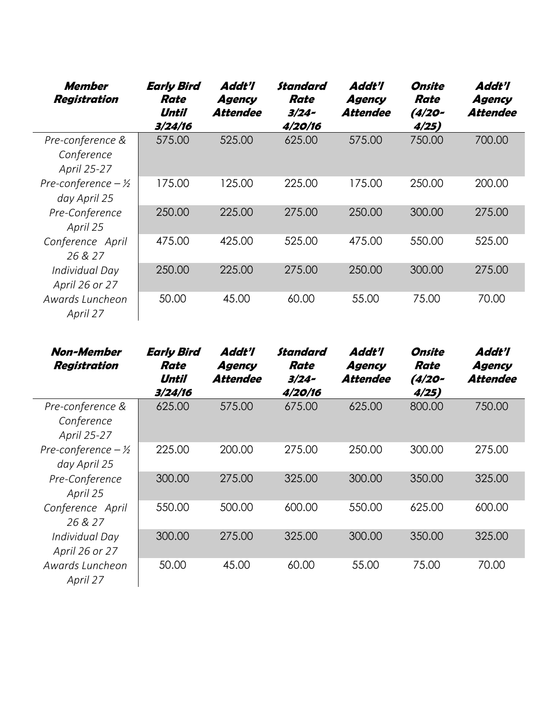| Member<br><b>Registration</b>                 | <b>Early Bird</b><br>Rate<br>Until<br>3/24/16 | Addt'l<br>Agency<br>Attendee | Standard<br>Rate<br>$3/24-$<br>4/20/16 | Addt'l<br>Agency<br><b>Attendee</b> | Onsite<br>Rate<br>$(4/20 -$<br>4/25) | Addt'l<br>Agency<br>Attendee |
|-----------------------------------------------|-----------------------------------------------|------------------------------|----------------------------------------|-------------------------------------|--------------------------------------|------------------------------|
| Pre-conference &<br>Conference<br>April 25-27 | 575.00                                        | 525.00                       | 625.00                                 | 575.00                              | 750.00                               | 700.00                       |
| Pre-conference $-\frac{1}{2}$<br>day April 25 | 175.00                                        | 125.00                       | 225.00                                 | 175.00                              | 250.00                               | 200.00                       |
| Pre-Conference<br>April 25                    | 250.00                                        | 225.00                       | 275.00                                 | 250.00                              | 300.00                               | 275.00                       |
| Conference April<br>26 & 27                   | 475.00                                        | 425.00                       | 525.00                                 | 475.00                              | 550.00                               | 525.00                       |
| Individual Day<br>April 26 or 27              | 250.00                                        | 225.00                       | 275.00                                 | 250.00                              | 300.00                               | 275.00                       |
| Awards Luncheon<br>April 27                   | 50.00                                         | 45.00                        | 60.00                                  | 55.00                               | 75.00                                | 70.00                        |

| <b>Non-Member</b><br><b>Registration</b>      | <b>Early Bird</b><br>Rate<br>Until<br>3/24/16 | Addt'l<br>Agency<br>Attendee | Standard<br>Rate<br>$3/24-$<br>4/20/16 | Addt'l<br>Agency<br>Attendee | Onsite<br>Rate<br>$(4/20 -$<br>4/25) | Addt'l<br>Agency<br><b>Attendee</b> |
|-----------------------------------------------|-----------------------------------------------|------------------------------|----------------------------------------|------------------------------|--------------------------------------|-------------------------------------|
| Pre-conference &                              | 625.00                                        | 575.00                       | 675.00                                 | 625.00                       | 800.00                               | 750.00                              |
| Conference<br>April 25-27                     |                                               |                              |                                        |                              |                                      |                                     |
| Pre-conference $-\frac{1}{2}$<br>day April 25 | 225.00                                        | 200.00                       | 275.00                                 | 250.00                       | 300.00                               | 275.00                              |
| Pre-Conference<br>April 25                    | 300.00                                        | 275.00                       | 325.00                                 | 300.00                       | 350.00                               | 325.00                              |
| Conference April<br>26 & 27                   | 550.00                                        | 500.00                       | 600.00                                 | 550.00                       | 625.00                               | 600.00                              |
| Individual Day<br>April 26 or 27              | 300.00                                        | 275.00                       | 325.00                                 | 300.00                       | 350.00                               | 325.00                              |
| Awards Luncheon<br>April 27                   | 50.00                                         | 45.00                        | 60.00                                  | 55.00                        | 75.00                                | 70.00                               |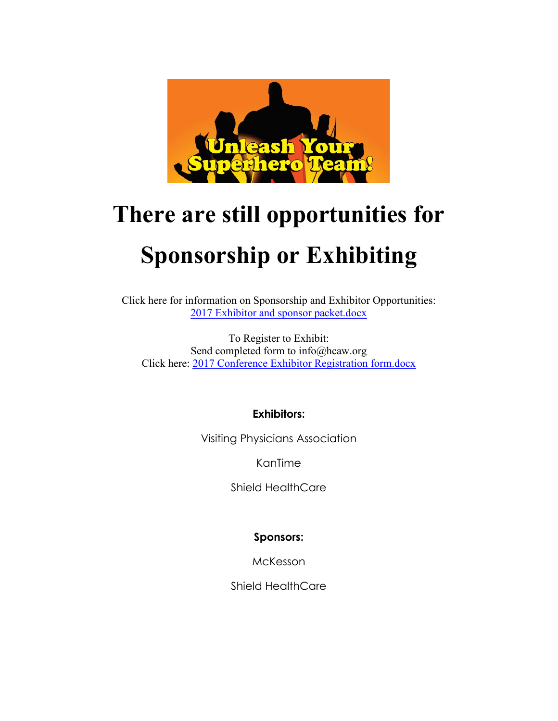

# **There are still opportunities for Sponsorship or Exhibiting**

Click here for information on Sponsorship and Exhibitor Opportunities: [2017 Exhibitor and sponsor packet.docx](https://hcaw.wildapricot.org/resources/2017%20Conference/2017%20Exhibitor%20and%20sponsor%20packet.docx)

To Register to Exhibit: Send completed form to info@hcaw.org Click here: [2017 Conference Exhibitor Registration form.docx](https://hcaw.wildapricot.org/resources/2017%20Conference/2017%20Conference%20Exhibitor%20Registration%20form.docx)

#### **Exhibitors:**

Visiting Physicians Association

KanTime

Shield HealthCare

#### **Sponsors:**

McKesson

Shield HealthCare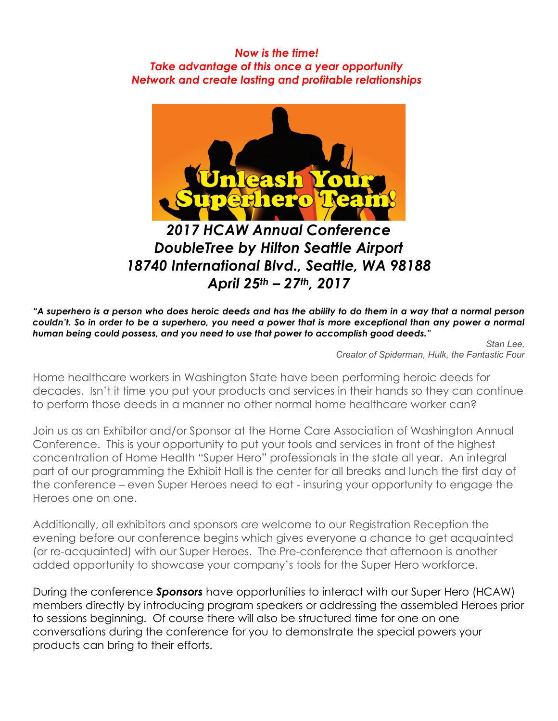#### *Now is the time! Take advantage of this once a year opportunity Network and create lasting and profitable relationships*



# *2017 HCAW Annual Conference DoubleTree by Hilton Seattle Airport 18740 International Blvd., Seattle, WA 98188 April 25th – 27th, 2017*

*"A superhero is a person who does heroic deeds and has the ability to do them in a way that a normal person couldn't. So in order to be a superhero, you need a power that is more exceptional than any power a normal human being could possess, and you need to use that power to accomplish good deeds."*

*Stan Lee, Creator of Spiderman, Hulk, the Fantastic Four*

Home healthcare workers in Washington State have been performing heroic deeds for decades. Isn't it time you put your products and services in their hands so they can continue to perform those deeds in a manner no other normal home healthcare worker can?

Join us as an Exhibitor and/or Sponsor at the Home Care Association of Washington Annual Conference. This is your opportunity to put your tools and services in front of the highest concentration of Home Health "Super Hero" professionals in the state all year. An integral part of our programming the Exhibit Hall is the center for all breaks and lunch the first day of the conference – even Super Heroes need to eat - insuring your opportunity to engage the Heroes one on one.

Additionally, all exhibitors and sponsors are welcome to our Registration Reception the evening before our conference begins which gives everyone a chance to get acquainted (or re-acquainted) with our Super Heroes. The Pre-conference that afternoon is another added opportunity to showcase your company's tools for the Super Hero workforce.

During the conference *Sponsors* have opportunities to interact with our Super Hero (HCAW) members directly by introducing program speakers or addressing the assembled Heroes prior to sessions beginning. Of course there will also be structured time for one on one conversations during the conference for you to demonstrate the special powers your products can bring to their efforts.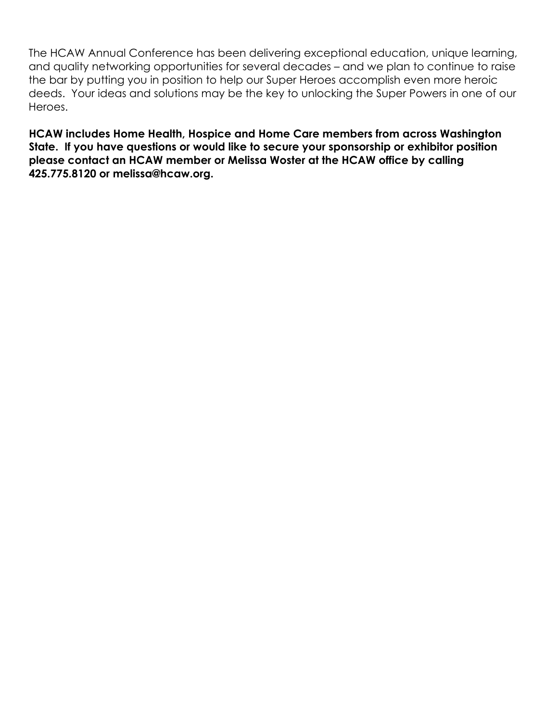The HCAW Annual Conference has been delivering exceptional education, unique learning, and quality networking opportunities for several decades – and we plan to continue to raise the bar by putting you in position to help our Super Heroes accomplish even more heroic deeds. Your ideas and solutions may be the key to unlocking the Super Powers in one of our Heroes.

**HCAW includes Home Health, Hospice and Home Care members from across Washington State. If you have questions or would like to secure your sponsorship or exhibitor position please contact an HCAW member or Melissa Woster at the HCAW office by calling 425.775.8120 or melissa@hcaw.org.**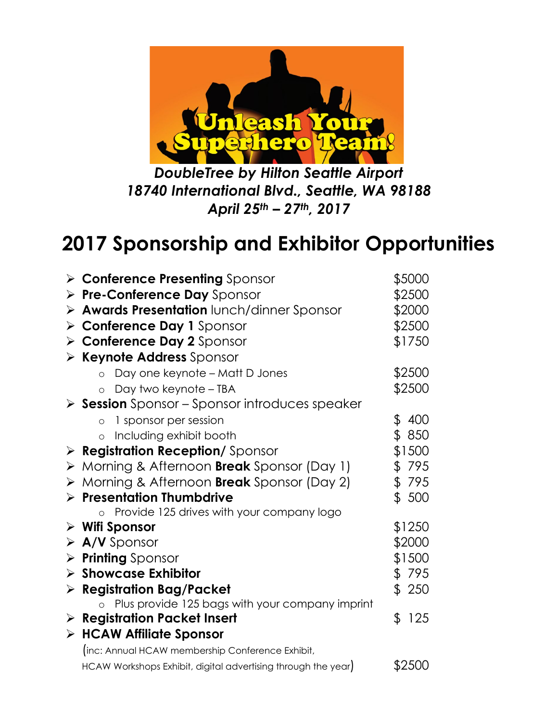

*DoubleTree by Hilton Seattle Airport 18740 International Blvd., Seattle, WA 98188 April 25th – 27th, 2017*

# **2017 Sponsorship and Exhibitor Opportunities**

| $\triangleright$ Conference Presenting Sponsor                       | \$5000                                                                                                                                                                                                                                                                                                                                                                                                                                                                                       |
|----------------------------------------------------------------------|----------------------------------------------------------------------------------------------------------------------------------------------------------------------------------------------------------------------------------------------------------------------------------------------------------------------------------------------------------------------------------------------------------------------------------------------------------------------------------------------|
| > Pre-Conference Day Sponsor                                         | \$2500                                                                                                                                                                                                                                                                                                                                                                                                                                                                                       |
| > Awards Presentation lunch/dinner Sponsor                           | \$2000                                                                                                                                                                                                                                                                                                                                                                                                                                                                                       |
| <b>Conference Day 1 Sponsor</b>                                      | \$2500                                                                                                                                                                                                                                                                                                                                                                                                                                                                                       |
| > Conference Day 2 Sponsor                                           | \$1750                                                                                                                                                                                                                                                                                                                                                                                                                                                                                       |
| > Keynote Address Sponsor                                            |                                                                                                                                                                                                                                                                                                                                                                                                                                                                                              |
| Day one keynote - Matt D Jones<br>$\circ$                            | \$2500                                                                                                                                                                                                                                                                                                                                                                                                                                                                                       |
| Day two keynote – TBA<br>$\circ$                                     | \$2500                                                                                                                                                                                                                                                                                                                                                                                                                                                                                       |
| $\triangleright$ <b>Session</b> Sponsor – Sponsor introduces speaker |                                                                                                                                                                                                                                                                                                                                                                                                                                                                                              |
| 1 sponsor per session<br>$\circ$                                     | \$<br>400                                                                                                                                                                                                                                                                                                                                                                                                                                                                                    |
| Including exhibit booth<br>$\circ$                                   | \$850                                                                                                                                                                                                                                                                                                                                                                                                                                                                                        |
| > Registration Reception/Sponsor                                     | \$1500                                                                                                                                                                                                                                                                                                                                                                                                                                                                                       |
| > Morning & Afternoon <b>Break</b> Sponsor (Day 1)                   | \$795                                                                                                                                                                                                                                                                                                                                                                                                                                                                                        |
| > Morning & Afternoon <b>Break</b> Sponsor (Day 2)                   | \$795                                                                                                                                                                                                                                                                                                                                                                                                                                                                                        |
| $\triangleright$ Presentation Thumbdrive                             | \$500                                                                                                                                                                                                                                                                                                                                                                                                                                                                                        |
| $\circ$                                                              |                                                                                                                                                                                                                                                                                                                                                                                                                                                                                              |
|                                                                      | \$1250                                                                                                                                                                                                                                                                                                                                                                                                                                                                                       |
|                                                                      | \$2000                                                                                                                                                                                                                                                                                                                                                                                                                                                                                       |
|                                                                      | \$1500                                                                                                                                                                                                                                                                                                                                                                                                                                                                                       |
|                                                                      | \$795                                                                                                                                                                                                                                                                                                                                                                                                                                                                                        |
|                                                                      | \$250                                                                                                                                                                                                                                                                                                                                                                                                                                                                                        |
|                                                                      |                                                                                                                                                                                                                                                                                                                                                                                                                                                                                              |
|                                                                      | \$<br>125                                                                                                                                                                                                                                                                                                                                                                                                                                                                                    |
|                                                                      |                                                                                                                                                                                                                                                                                                                                                                                                                                                                                              |
|                                                                      |                                                                                                                                                                                                                                                                                                                                                                                                                                                                                              |
|                                                                      | \$2500                                                                                                                                                                                                                                                                                                                                                                                                                                                                                       |
|                                                                      | Provide 125 drives with your company logo<br>$\triangleright$ Wifi Sponsor<br>$\triangleright$ A/V Sponsor<br><b>Printing</b> Sponsor<br>$\triangleright$ Showcase Exhibitor<br>$\triangleright$ Registration Bag/Packet<br>o Plus provide 125 bags with your company imprint<br>$\triangleright$ Registration Packet Insert<br>$\triangleright$ HCAW Affiliate Sponsor<br>(inc: Annual HCAW membership Conference Exhibit,<br>HCAW Workshops Exhibit, digital advertising through the year) |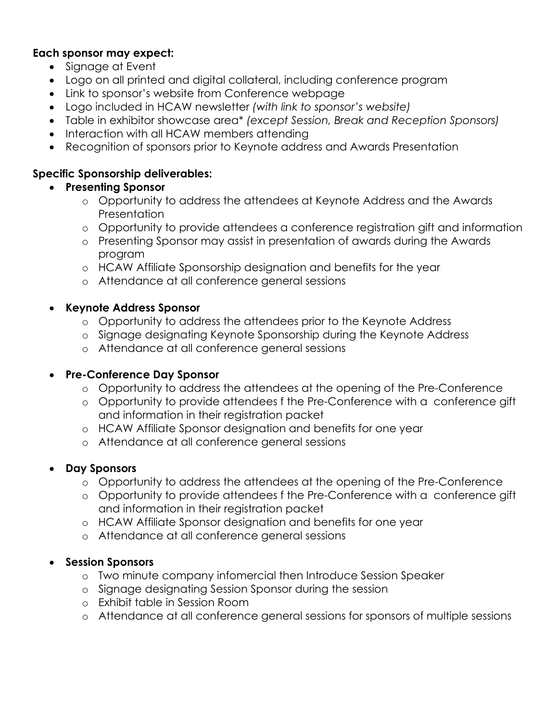#### **Each sponsor may expect:**

- Signage at Event
- Logo on all printed and digital collateral, including conference program
- Link to sponsor's website from Conference webpage
- Logo included in HCAW newsletter *(with link to sponsor's website)*
- Table in exhibitor showcase area\* *(except Session, Break and Reception Sponsors)*
- Interaction with all HCAW members attending
- Recognition of sponsors prior to Keynote address and Awards Presentation

#### **Specific Sponsorship deliverables:**

- **Presenting Sponsor**
	- o Opportunity to address the attendees at Keynote Address and the Awards Presentation
	- o Opportunity to provide attendees a conference registration gift and information
	- o Presenting Sponsor may assist in presentation of awards during the Awards program
	- o HCAW Affiliate Sponsorship designation and benefits for the year
	- o Attendance at all conference general sessions

#### • **Keynote Address Sponsor**

- o Opportunity to address the attendees prior to the Keynote Address
- o Signage designating Keynote Sponsorship during the Keynote Address
- o Attendance at all conference general sessions

#### • **Pre-Conference Day Sponsor**

- o Opportunity to address the attendees at the opening of the Pre-Conference
- o Opportunity to provide attendees f the Pre-Conference with a conference gift and information in their registration packet
- o HCAW Affiliate Sponsor designation and benefits for one year
- o Attendance at all conference general sessions

#### • **Day Sponsors**

- o Opportunity to address the attendees at the opening of the Pre-Conference
- o Opportunity to provide attendees f the Pre-Conference with a conference gift and information in their registration packet
- o HCAW Affiliate Sponsor designation and benefits for one year
- o Attendance at all conference general sessions

#### • **Session Sponsors**

- o Two minute company infomercial then Introduce Session Speaker
- o Signage designating Session Sponsor during the session
- o Exhibit table in Session Room
- o Attendance at all conference general sessions for sponsors of multiple sessions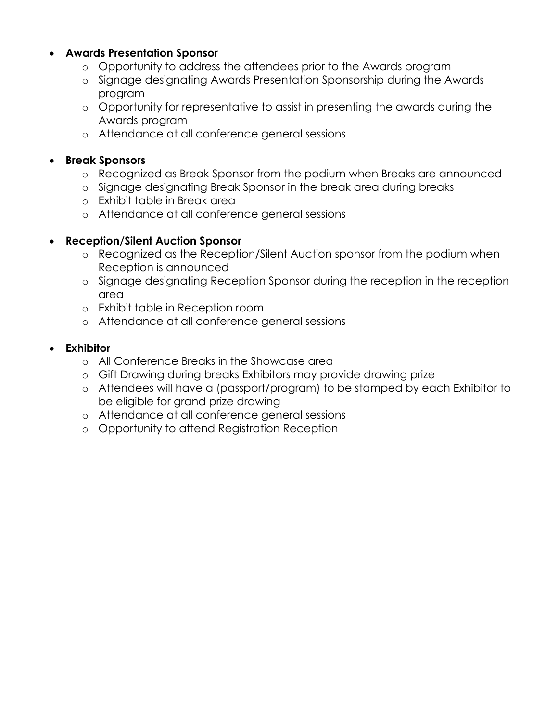#### • **Awards Presentation Sponsor**

- o Opportunity to address the attendees prior to the Awards program
- o Signage designating Awards Presentation Sponsorship during the Awards program
- o Opportunity for representative to assist in presenting the awards during the Awards program
- o Attendance at all conference general sessions

#### • **Break Sponsors**

- o Recognized as Break Sponsor from the podium when Breaks are announced
- o Signage designating Break Sponsor in the break area during breaks
- o Exhibit table in Break area
- o Attendance at all conference general sessions

#### • **Reception/Silent Auction Sponsor**

- o Recognized as the Reception/Silent Auction sponsor from the podium when Reception is announced
- o Signage designating Reception Sponsor during the reception in the reception area
- o Exhibit table in Reception room
- o Attendance at all conference general sessions

#### • **Exhibitor**

- o All Conference Breaks in the Showcase area
- o Gift Drawing during breaks Exhibitors may provide drawing prize
- o Attendees will have a (passport/program) to be stamped by each Exhibitor to be eligible for grand prize drawing
- o Attendance at all conference general sessions
- o Opportunity to attend Registration Reception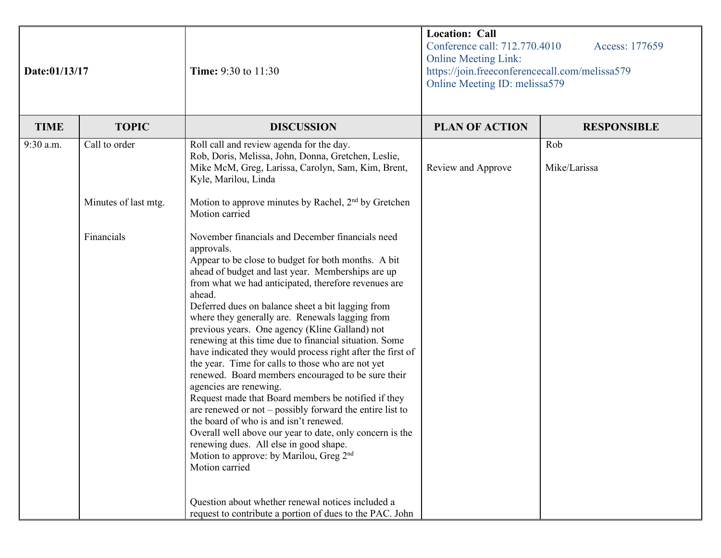| Date:01/13/17 |                      | <b>Time:</b> 9:30 to 11:30                                                                                                                                                                                                                                                                                                                                                                                                                                                                                                                                                                                                                                                                                                                                                                                                                                                                                                                                                                                                                                                                                                         | <b>Location: Call</b><br>Conference call: 712.770.4010<br>Access: 177659<br><b>Online Meeting Link:</b><br>https://join.freeconferencecall.com/melissa579<br>Online Meeting ID: melissa579 |                     |
|---------------|----------------------|------------------------------------------------------------------------------------------------------------------------------------------------------------------------------------------------------------------------------------------------------------------------------------------------------------------------------------------------------------------------------------------------------------------------------------------------------------------------------------------------------------------------------------------------------------------------------------------------------------------------------------------------------------------------------------------------------------------------------------------------------------------------------------------------------------------------------------------------------------------------------------------------------------------------------------------------------------------------------------------------------------------------------------------------------------------------------------------------------------------------------------|--------------------------------------------------------------------------------------------------------------------------------------------------------------------------------------------|---------------------|
| <b>TIME</b>   | <b>TOPIC</b>         | <b>DISCUSSION</b>                                                                                                                                                                                                                                                                                                                                                                                                                                                                                                                                                                                                                                                                                                                                                                                                                                                                                                                                                                                                                                                                                                                  | <b>PLAN OF ACTION</b>                                                                                                                                                                      | <b>RESPONSIBLE</b>  |
| 9:30 a.m.     | Call to order        | Roll call and review agenda for the day.<br>Rob, Doris, Melissa, John, Donna, Gretchen, Leslie,<br>Mike McM, Greg, Larissa, Carolyn, Sam, Kim, Brent,<br>Kyle, Marilou, Linda                                                                                                                                                                                                                                                                                                                                                                                                                                                                                                                                                                                                                                                                                                                                                                                                                                                                                                                                                      | Review and Approve                                                                                                                                                                         | Rob<br>Mike/Larissa |
|               | Minutes of last mtg. | Motion to approve minutes by Rachel, 2 <sup>nd</sup> by Gretchen<br>Motion carried                                                                                                                                                                                                                                                                                                                                                                                                                                                                                                                                                                                                                                                                                                                                                                                                                                                                                                                                                                                                                                                 |                                                                                                                                                                                            |                     |
|               | Financials           | November financials and December financials need<br>approvals.<br>Appear to be close to budget for both months. A bit<br>ahead of budget and last year. Memberships are up<br>from what we had anticipated, therefore revenues are<br>ahead.<br>Deferred dues on balance sheet a bit lagging from<br>where they generally are. Renewals lagging from<br>previous years. One agency (Kline Galland) not<br>renewing at this time due to financial situation. Some<br>have indicated they would process right after the first of<br>the year. Time for calls to those who are not yet<br>renewed. Board members encouraged to be sure their<br>agencies are renewing.<br>Request made that Board members be notified if they<br>are renewed or not $-$ possibly forward the entire list to<br>the board of who is and isn't renewed.<br>Overall well above our year to date, only concern is the<br>renewing dues. All else in good shape.<br>Motion to approve: by Marilou, Greg 2 <sup>nd</sup><br>Motion carried<br>Question about whether renewal notices included a<br>request to contribute a portion of dues to the PAC. John |                                                                                                                                                                                            |                     |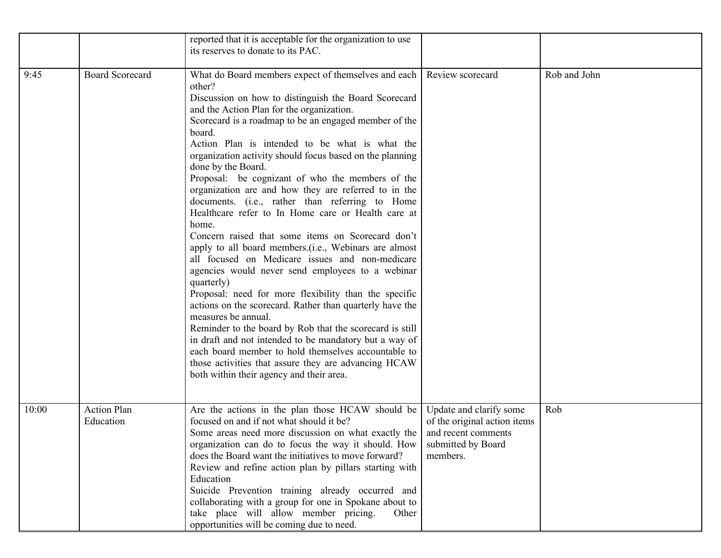|       |                                 | reported that it is acceptable for the organization to use<br>its reserves to donate to its PAC.                                                                                                                                                                                                                                                                                                                                                                                                                                                                                                                                                                                                                                                                                                                                                                                                                                                                                                                                                                                                                                                                                                                                                                        |                                                                                                                  |              |
|-------|---------------------------------|-------------------------------------------------------------------------------------------------------------------------------------------------------------------------------------------------------------------------------------------------------------------------------------------------------------------------------------------------------------------------------------------------------------------------------------------------------------------------------------------------------------------------------------------------------------------------------------------------------------------------------------------------------------------------------------------------------------------------------------------------------------------------------------------------------------------------------------------------------------------------------------------------------------------------------------------------------------------------------------------------------------------------------------------------------------------------------------------------------------------------------------------------------------------------------------------------------------------------------------------------------------------------|------------------------------------------------------------------------------------------------------------------|--------------|
| 9:45  | <b>Board Scorecard</b>          | What do Board members expect of themselves and each<br>other?<br>Discussion on how to distinguish the Board Scorecard<br>and the Action Plan for the organization.<br>Scorecard is a roadmap to be an engaged member of the<br>board.<br>Action Plan is intended to be what is what the<br>organization activity should focus based on the planning<br>done by the Board.<br>Proposal: be cognizant of who the members of the<br>organization are and how they are referred to in the<br>documents. (i.e., rather than referring to Home<br>Healthcare refer to In Home care or Health care at<br>home.<br>Concern raised that some items on Scorecard don't<br>apply to all board members.(i.e., Webinars are almost<br>all focused on Medicare issues and non-medicare<br>agencies would never send employees to a webinar<br>quarterly)<br>Proposal: need for more flexibility than the specific<br>actions on the scorecard. Rather than quarterly have the<br>measures be annual.<br>Reminder to the board by Rob that the scorecard is still<br>in draft and not intended to be mandatory but a way of<br>each board member to hold themselves accountable to<br>those activities that assure they are advancing HCAW<br>both within their agency and their area. | Review scorecard                                                                                                 | Rob and John |
| 10:00 | <b>Action Plan</b><br>Education | Are the actions in the plan those HCAW should be<br>focused on and if not what should it be?<br>Some areas need more discussion on what exactly the<br>organization can do to focus the way it should. How<br>does the Board want the initiatives to move forward?<br>Review and refine action plan by pillars starting with<br>Education<br>Suicide Prevention training already occurred and<br>collaborating with a group for one in Spokane about to<br>take place will allow member pricing.<br>Other<br>opportunities will be coming due to need.                                                                                                                                                                                                                                                                                                                                                                                                                                                                                                                                                                                                                                                                                                                  | Update and clarify some<br>of the original action items<br>and recent comments<br>submitted by Board<br>members. | Rob          |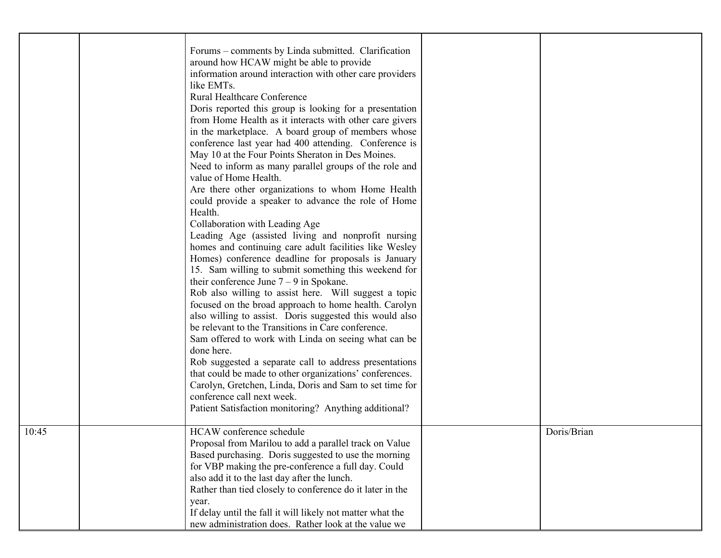|       | Forums – comments by Linda submitted. Clarification<br>around how HCAW might be able to provide<br>information around interaction with other care providers<br>like EMTs.<br><b>Rural Healthcare Conference</b><br>Doris reported this group is looking for a presentation<br>from Home Health as it interacts with other care givers<br>in the marketplace. A board group of members whose<br>conference last year had 400 attending. Conference is<br>May 10 at the Four Points Sheraton in Des Moines.<br>Need to inform as many parallel groups of the role and<br>value of Home Health.<br>Are there other organizations to whom Home Health<br>could provide a speaker to advance the role of Home<br>Health.<br>Collaboration with Leading Age<br>Leading Age (assisted living and nonprofit nursing<br>homes and continuing care adult facilities like Wesley<br>Homes) conference deadline for proposals is January<br>15. Sam willing to submit something this weekend for<br>their conference June $7 - 9$ in Spokane.<br>Rob also willing to assist here. Will suggest a topic<br>focused on the broad approach to home health. Carolyn<br>also willing to assist. Doris suggested this would also<br>be relevant to the Transitions in Care conference.<br>Sam offered to work with Linda on seeing what can be<br>done here.<br>Rob suggested a separate call to address presentations<br>that could be made to other organizations' conferences.<br>Carolyn, Gretchen, Linda, Doris and Sam to set time for<br>conference call next week.<br>Patient Satisfaction monitoring? Anything additional? |             |
|-------|-------------------------------------------------------------------------------------------------------------------------------------------------------------------------------------------------------------------------------------------------------------------------------------------------------------------------------------------------------------------------------------------------------------------------------------------------------------------------------------------------------------------------------------------------------------------------------------------------------------------------------------------------------------------------------------------------------------------------------------------------------------------------------------------------------------------------------------------------------------------------------------------------------------------------------------------------------------------------------------------------------------------------------------------------------------------------------------------------------------------------------------------------------------------------------------------------------------------------------------------------------------------------------------------------------------------------------------------------------------------------------------------------------------------------------------------------------------------------------------------------------------------------------------------------------------------------------------------------------------------|-------------|
| 10:45 | HCAW conference schedule<br>Proposal from Marilou to add a parallel track on Value<br>Based purchasing. Doris suggested to use the morning<br>for VBP making the pre-conference a full day. Could<br>also add it to the last day after the lunch.<br>Rather than tied closely to conference do it later in the<br>year.<br>If delay until the fall it will likely not matter what the<br>new administration does. Rather look at the value we                                                                                                                                                                                                                                                                                                                                                                                                                                                                                                                                                                                                                                                                                                                                                                                                                                                                                                                                                                                                                                                                                                                                                                     | Doris/Brian |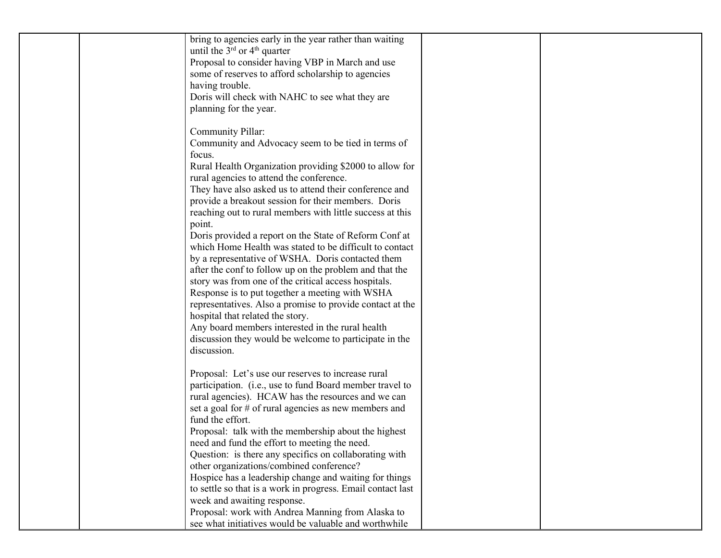| bring to agencies early in the year rather than waiting<br>until the $3^{rd}$ or $4^{th}$ quarter<br>Proposal to consider having VBP in March and use<br>some of reserves to afford scholarship to agencies<br>having trouble.                    |  |
|---------------------------------------------------------------------------------------------------------------------------------------------------------------------------------------------------------------------------------------------------|--|
| Doris will check with NAHC to see what they are<br>planning for the year.                                                                                                                                                                         |  |
| Community Pillar:<br>Community and Advocacy seem to be tied in terms of<br>focus.                                                                                                                                                                 |  |
| Rural Health Organization providing \$2000 to allow for<br>rural agencies to attend the conference.<br>They have also asked us to attend their conference and                                                                                     |  |
| provide a breakout session for their members. Doris<br>reaching out to rural members with little success at this<br>point.                                                                                                                        |  |
| Doris provided a report on the State of Reform Conf at<br>which Home Health was stated to be difficult to contact<br>by a representative of WSHA. Doris contacted them                                                                            |  |
| after the conf to follow up on the problem and that the<br>story was from one of the critical access hospitals.<br>Response is to put together a meeting with WSHA                                                                                |  |
| representatives. Also a promise to provide contact at the<br>hospital that related the story.<br>Any board members interested in the rural health<br>discussion they would be welcome to participate in the                                       |  |
| discussion.                                                                                                                                                                                                                                       |  |
| Proposal: Let's use our reserves to increase rural<br>participation. (i.e., use to fund Board member travel to<br>rural agencies). HCAW has the resources and we can<br>set a goal for # of rural agencies as new members and<br>fund the effort. |  |
| Proposal: talk with the membership about the highest<br>need and fund the effort to meeting the need.<br>Question: is there any specifics on collaborating with                                                                                   |  |
| other organizations/combined conference?<br>Hospice has a leadership change and waiting for things<br>to settle so that is a work in progress. Email contact last<br>week and awaiting response.                                                  |  |
| Proposal: work with Andrea Manning from Alaska to<br>see what initiatives would be valuable and worthwhile                                                                                                                                        |  |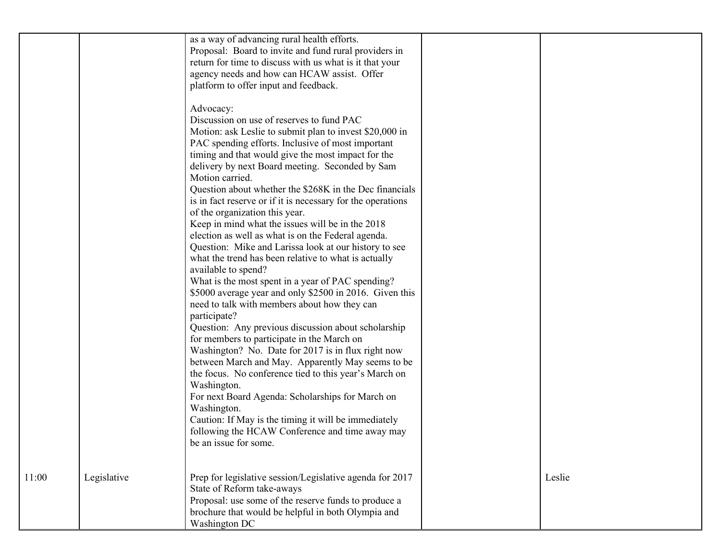|       |             | as a way of advancing rural health efforts.<br>Proposal: Board to invite and fund rural providers in<br>return for time to discuss with us what is it that your<br>agency needs and how can HCAW assist. Offer<br>platform to offer input and feedback.<br>Advocacy:<br>Discussion on use of reserves to fund PAC<br>Motion: ask Leslie to submit plan to invest \$20,000 in<br>PAC spending efforts. Inclusive of most important<br>timing and that would give the most impact for the<br>delivery by next Board meeting. Seconded by Sam<br>Motion carried.<br>Question about whether the \$268K in the Dec financials<br>is in fact reserve or if it is necessary for the operations<br>of the organization this year.<br>Keep in mind what the issues will be in the 2018<br>election as well as what is on the Federal agenda.<br>Question: Mike and Larissa look at our history to see<br>what the trend has been relative to what is actually<br>available to spend?<br>What is the most spent in a year of PAC spending?<br>\$5000 average year and only \$2500 in 2016. Given this<br>need to talk with members about how they can<br>participate?<br>Question: Any previous discussion about scholarship<br>for members to participate in the March on<br>Washington? No. Date for 2017 is in flux right now<br>between March and May. Apparently May seems to be<br>the focus. No conference tied to this year's March on<br>Washington.<br>For next Board Agenda: Scholarships for March on<br>Washington.<br>Caution: If May is the timing it will be immediately<br>following the HCAW Conference and time away may<br>be an issue for some. |        |
|-------|-------------|------------------------------------------------------------------------------------------------------------------------------------------------------------------------------------------------------------------------------------------------------------------------------------------------------------------------------------------------------------------------------------------------------------------------------------------------------------------------------------------------------------------------------------------------------------------------------------------------------------------------------------------------------------------------------------------------------------------------------------------------------------------------------------------------------------------------------------------------------------------------------------------------------------------------------------------------------------------------------------------------------------------------------------------------------------------------------------------------------------------------------------------------------------------------------------------------------------------------------------------------------------------------------------------------------------------------------------------------------------------------------------------------------------------------------------------------------------------------------------------------------------------------------------------------------------------------------------------------------------------------------------------------------------|--------|
| 11:00 | Legislative | Prep for legislative session/Legislative agenda for 2017<br>State of Reform take-aways<br>Proposal: use some of the reserve funds to produce a<br>brochure that would be helpful in both Olympia and<br>Washington DC                                                                                                                                                                                                                                                                                                                                                                                                                                                                                                                                                                                                                                                                                                                                                                                                                                                                                                                                                                                                                                                                                                                                                                                                                                                                                                                                                                                                                                      | Leslie |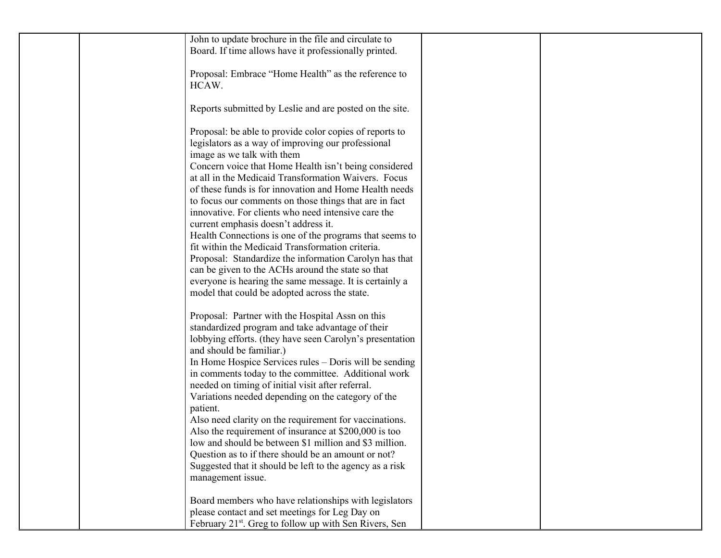| John to update brochure in the file and circulate to<br>Board. If time allows have it professionally printed.                                                                                                                                                                                                                                                                                                                                                                                                                                                                                                                                                                                                                                              |  |
|------------------------------------------------------------------------------------------------------------------------------------------------------------------------------------------------------------------------------------------------------------------------------------------------------------------------------------------------------------------------------------------------------------------------------------------------------------------------------------------------------------------------------------------------------------------------------------------------------------------------------------------------------------------------------------------------------------------------------------------------------------|--|
| Proposal: Embrace "Home Health" as the reference to<br>HCAW.                                                                                                                                                                                                                                                                                                                                                                                                                                                                                                                                                                                                                                                                                               |  |
| Reports submitted by Leslie and are posted on the site.                                                                                                                                                                                                                                                                                                                                                                                                                                                                                                                                                                                                                                                                                                    |  |
| Proposal: be able to provide color copies of reports to<br>legislators as a way of improving our professional<br>image as we talk with them<br>Concern voice that Home Health isn't being considered<br>at all in the Medicaid Transformation Waivers. Focus<br>of these funds is for innovation and Home Health needs<br>to focus our comments on those things that are in fact<br>innovative. For clients who need intensive care the<br>current emphasis doesn't address it.<br>Health Connections is one of the programs that seems to<br>fit within the Medicaid Transformation criteria.<br>Proposal: Standardize the information Carolyn has that                                                                                                   |  |
| can be given to the ACHs around the state so that<br>everyone is hearing the same message. It is certainly a<br>model that could be adopted across the state.                                                                                                                                                                                                                                                                                                                                                                                                                                                                                                                                                                                              |  |
| Proposal: Partner with the Hospital Assn on this<br>standardized program and take advantage of their<br>lobbying efforts. (they have seen Carolyn's presentation<br>and should be familiar.)<br>In Home Hospice Services rules - Doris will be sending<br>in comments today to the committee. Additional work<br>needed on timing of initial visit after referral.<br>Variations needed depending on the category of the<br>patient.<br>Also need clarity on the requirement for vaccinations.<br>Also the requirement of insurance at $$200,000$ is too<br>low and should be between \$1 million and \$3 million.<br>Question as to if there should be an amount or not?<br>Suggested that it should be left to the agency as a risk<br>management issue. |  |
| Board members who have relationships with legislators<br>please contact and set meetings for Leg Day on<br>February 21 <sup>st</sup> . Greg to follow up with Sen Rivers, Sen                                                                                                                                                                                                                                                                                                                                                                                                                                                                                                                                                                              |  |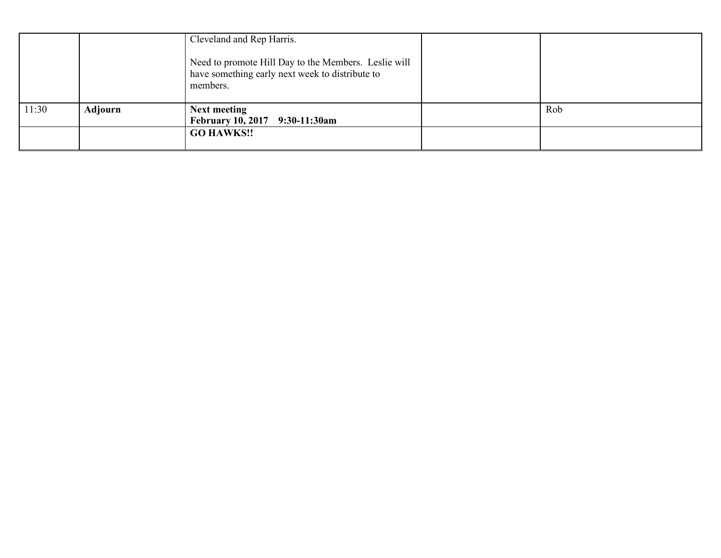|       |         | Cleveland and Rep Harris.<br>Need to promote Hill Day to the Members. Leslie will<br>have something early next week to distribute to<br>members. |     |
|-------|---------|--------------------------------------------------------------------------------------------------------------------------------------------------|-----|
| 11:30 | Adjourn | <b>Next meeting</b><br>February 10, 2017 9:30-11:30am                                                                                            | Rob |
|       |         | <b>GO HAWKS!!</b>                                                                                                                                |     |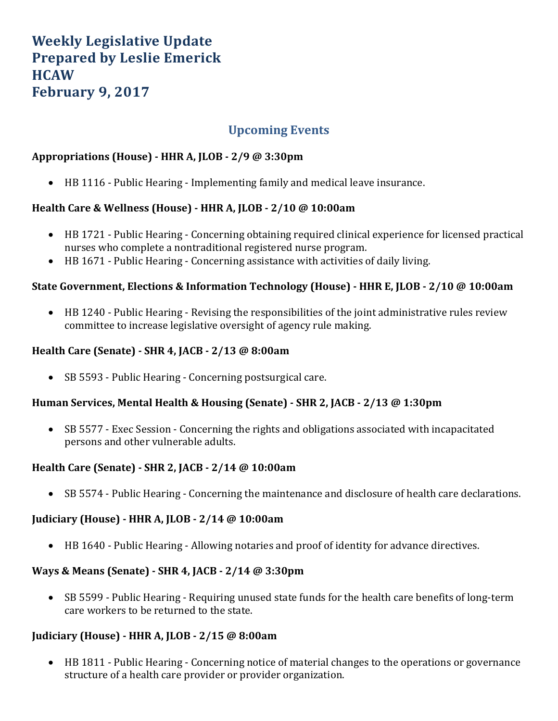# **Weekly Legislative Update Prepared by Leslie Emerick HCAW February 9, 2017**

# **Upcoming Events**

#### **Appropriations (House) - HHR A, JLOB - 2/9 @ 3:30pm**

• HB 1116 - Public Hearing - Implementing family and medical leave insurance.

#### **Health Care & Wellness (House) - HHR A, JLOB - 2/10 @ 10:00am**

- HB 1721 Public Hearing Concerning obtaining required clinical experience for licensed practical nurses who complete a nontraditional registered nurse program.
- HB 1671 Public Hearing Concerning assistance with activities of daily living.

#### **State Government, Elections & Information Technology (House) - HHR E, JLOB - 2/10 @ 10:00am**

• HB 1240 - Public Hearing - Revising the responsibilities of the joint administrative rules review committee to increase legislative oversight of agency rule making.

#### **Health Care (Senate) - SHR 4, JACB - 2/13 @ 8:00am**

• SB 5593 - Public Hearing - Concerning postsurgical care.

#### **Human Services, Mental Health & Housing (Senate) - SHR 2, JACB - 2/13 @ 1:30pm**

• SB 5577 - Exec Session - Concerning the rights and obligations associated with incapacitated persons and other vulnerable adults.

#### **Health Care (Senate) - SHR 2, JACB - 2/14 @ 10:00am**

• SB 5574 - Public Hearing - Concerning the maintenance and disclosure of health care declarations.

#### **Judiciary (House) - HHR A, JLOB - 2/14 @ 10:00am**

• HB 1640 - Public Hearing - Allowing notaries and proof of identity for advance directives.

#### **Ways & Means (Senate) - SHR 4, JACB - 2/14 @ 3:30pm**

• SB 5599 - Public Hearing - Requiring unused state funds for the health care benefits of long-term care workers to be returned to the state.

#### **Judiciary (House) - HHR A, JLOB - 2/15 @ 8:00am**

• HB 1811 - Public Hearing - Concerning notice of material changes to the operations or governance structure of a health care provider or provider organization.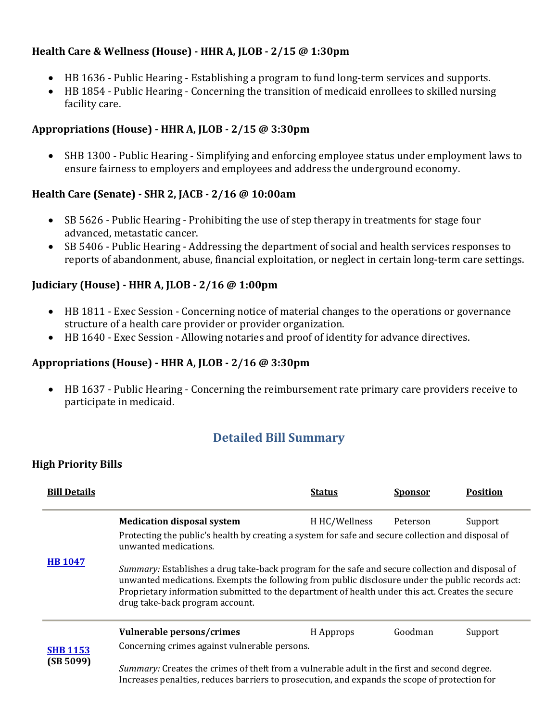#### **Health Care & Wellness (House) - HHR A, JLOB - 2/15 @ 1:30pm**

- HB 1636 Public Hearing Establishing a program to fund long-term services and supports.
- HB 1854 Public Hearing Concerning the transition of medicaid enrollees to skilled nursing facility care.

#### **Appropriations (House) - HHR A, JLOB - 2/15 @ 3:30pm**

• SHB 1300 - Public Hearing - Simplifying and enforcing employee status under employment laws to ensure fairness to employers and employees and address the underground economy.

#### **Health Care (Senate) - SHR 2, JACB - 2/16 @ 10:00am**

- SB 5626 Public Hearing Prohibiting the use of step therapy in treatments for stage four advanced, metastatic cancer.
- SB 5406 Public Hearing Addressing the department of social and health services responses to reports of abandonment, abuse, financial exploitation, or neglect in certain long-term care settings.

#### **Judiciary (House) - HHR A, JLOB - 2/16 @ 1:00pm**

- HB 1811 Exec Session Concerning notice of material changes to the operations or governance structure of a health care provider or provider organization.
- HB 1640 Exec Session Allowing notaries and proof of identity for advance directives.

#### **Appropriations (House) - HHR A, JLOB - 2/16 @ 3:30pm**

• HB 1637 - Public Hearing - Concerning the reimbursement rate primary care providers receive to participate in medicaid.

# **Detailed Bill Summary**

#### **High Priority Bills**

| <b>Bill Details</b> |                                                                                                                                                                                                                                                                                                                                             | <b>Status</b> | <u>Sponsor</u> | Position |  |  |
|---------------------|---------------------------------------------------------------------------------------------------------------------------------------------------------------------------------------------------------------------------------------------------------------------------------------------------------------------------------------------|---------------|----------------|----------|--|--|
|                     | <b>Medication disposal system</b>                                                                                                                                                                                                                                                                                                           | H HC/Wellness | Peterson       | Support  |  |  |
|                     | Protecting the public's health by creating a system for safe and secure collection and disposal of<br>unwanted medications.                                                                                                                                                                                                                 |               |                |          |  |  |
| <b>HB 1047</b>      | Summary: Establishes a drug take-back program for the safe and secure collection and disposal of<br>unwanted medications. Exempts the following from public disclosure under the public records act:<br>Proprietary information submitted to the department of health under this act. Creates the secure<br>drug take-back program account. |               |                |          |  |  |
|                     | Vulnerable persons/crimes                                                                                                                                                                                                                                                                                                                   | H Approps     | Goodman        | Support  |  |  |
| <b>SHB 1153</b>     | Concerning crimes against vulnerable persons.                                                                                                                                                                                                                                                                                               |               |                |          |  |  |
| (SB 5099)           | Summary: Creates the crimes of theft from a vulnerable adult in the first and second degree.<br>Increases penalties, reduces barriers to prosecution, and expands the scope of protection for                                                                                                                                               |               |                |          |  |  |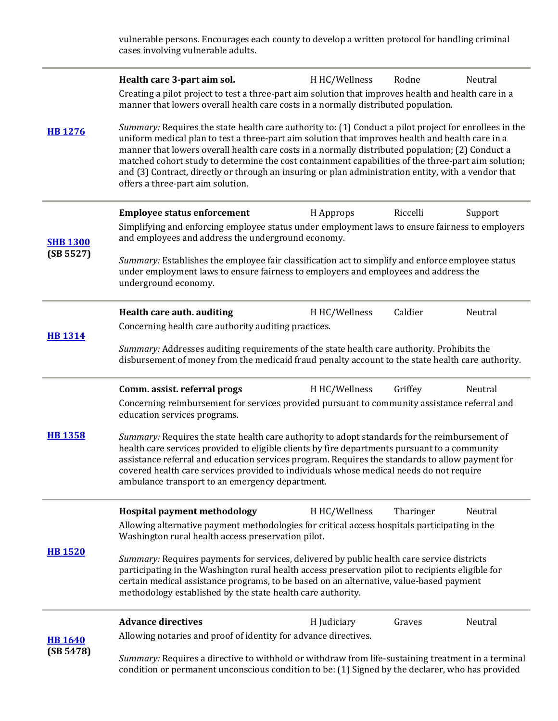vulnerable persons. Encourages each county to develop a written protocol for handling criminal cases involving vulnerable adults.

|                 | Health care 3-part aim sol.                                                                                                                                                                                                                                                                                                                                                                                                                                                                                                                                       | H HC/Wellness | Rodne     | Neutral |  |
|-----------------|-------------------------------------------------------------------------------------------------------------------------------------------------------------------------------------------------------------------------------------------------------------------------------------------------------------------------------------------------------------------------------------------------------------------------------------------------------------------------------------------------------------------------------------------------------------------|---------------|-----------|---------|--|
|                 | Creating a pilot project to test a three-part aim solution that improves health and health care in a<br>manner that lowers overall health care costs in a normally distributed population.                                                                                                                                                                                                                                                                                                                                                                        |               |           |         |  |
| <b>HB 1276</b>  | Summary: Requires the state health care authority to: (1) Conduct a pilot project for enrollees in the<br>uniform medical plan to test a three-part aim solution that improves health and health care in a<br>manner that lowers overall health care costs in a normally distributed population; (2) Conduct a<br>matched cohort study to determine the cost containment capabilities of the three-part aim solution;<br>and (3) Contract, directly or through an insuring or plan administration entity, with a vendor that<br>offers a three-part aim solution. |               |           |         |  |
|                 | <b>Employee status enforcement</b>                                                                                                                                                                                                                                                                                                                                                                                                                                                                                                                                | H Approps     | Riccelli  | Support |  |
| <b>SHB 1300</b> | Simplifying and enforcing employee status under employment laws to ensure fairness to employers<br>and employees and address the underground economy.                                                                                                                                                                                                                                                                                                                                                                                                             |               |           |         |  |
| (SB 5527)       | Summary: Establishes the employee fair classification act to simplify and enforce employee status<br>under employment laws to ensure fairness to employers and employees and address the<br>underground economy.                                                                                                                                                                                                                                                                                                                                                  |               |           |         |  |
|                 | Health care auth. auditing                                                                                                                                                                                                                                                                                                                                                                                                                                                                                                                                        | H HC/Wellness | Caldier   | Neutral |  |
| <b>HB1314</b>   | Concerning health care authority auditing practices.                                                                                                                                                                                                                                                                                                                                                                                                                                                                                                              |               |           |         |  |
|                 | Summary: Addresses auditing requirements of the state health care authority. Prohibits the<br>disbursement of money from the medicaid fraud penalty account to the state health care authority.                                                                                                                                                                                                                                                                                                                                                                   |               |           |         |  |
|                 | Comm. assist. referral progs                                                                                                                                                                                                                                                                                                                                                                                                                                                                                                                                      | H HC/Wellness | Griffey   | Neutral |  |
|                 | Concerning reimbursement for services provided pursuant to community assistance referral and<br>education services programs.                                                                                                                                                                                                                                                                                                                                                                                                                                      |               |           |         |  |
| <b>HB 1358</b>  | Summary: Requires the state health care authority to adopt standards for the reimbursement of<br>health care services provided to eligible clients by fire departments pursuant to a community<br>assistance referral and education services program. Requires the standards to allow payment for<br>covered health care services provided to individuals whose medical needs do not require<br>ambulance transport to an emergency department.                                                                                                                   |               |           |         |  |
|                 | Hospital payment methodology                                                                                                                                                                                                                                                                                                                                                                                                                                                                                                                                      | H HC/Wellness | Tharinger | Neutral |  |
|                 | Allowing alternative payment methodologies for critical access hospitals participating in the<br>Washington rural health access preservation pilot.                                                                                                                                                                                                                                                                                                                                                                                                               |               |           |         |  |
| <b>HB 1520</b>  | Summary: Requires payments for services, delivered by public health care service districts<br>participating in the Washington rural health access preservation pilot to recipients eligible for<br>certain medical assistance programs, to be based on an alternative, value-based payment<br>methodology established by the state health care authority.                                                                                                                                                                                                         |               |           |         |  |
|                 | <b>Advance directives</b>                                                                                                                                                                                                                                                                                                                                                                                                                                                                                                                                         | H Judiciary   | Graves    | Neutral |  |
| <b>HB1640</b>   | Allowing notaries and proof of identity for advance directives.                                                                                                                                                                                                                                                                                                                                                                                                                                                                                                   |               |           |         |  |
| (SB 5478)       | Summary: Requires a directive to withhold or withdraw from life-sustaining treatment in a terminal<br>condition or permanent unconscious condition to be: (1) Signed by the declarer, who has provided                                                                                                                                                                                                                                                                                                                                                            |               |           |         |  |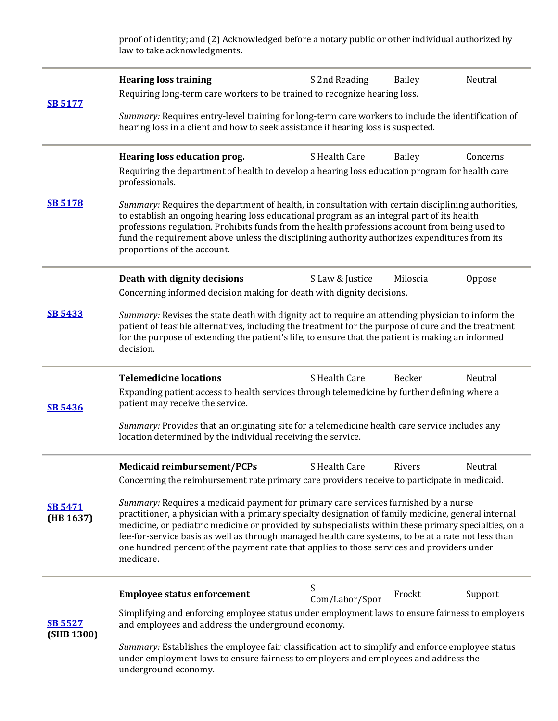proof of identity; and (2) Acknowledged before a notary public or other individual authorized by law to take acknowledgments.

| <b>SB 5177</b>               | <b>Hearing loss training</b><br>Requiring long-term care workers to be trained to recognize hearing loss.                                                                                                                                                                                                                                                                                                                                                                                                            | S 2nd Reading       | <b>Bailey</b> | Neutral  |  |
|------------------------------|----------------------------------------------------------------------------------------------------------------------------------------------------------------------------------------------------------------------------------------------------------------------------------------------------------------------------------------------------------------------------------------------------------------------------------------------------------------------------------------------------------------------|---------------------|---------------|----------|--|
|                              | Summary: Requires entry-level training for long-term care workers to include the identification of<br>hearing loss in a client and how to seek assistance if hearing loss is suspected.                                                                                                                                                                                                                                                                                                                              |                     |               |          |  |
| <b>SB 5178</b>               | Hearing loss education prog.<br>Requiring the department of health to develop a hearing loss education program for health care<br>professionals.                                                                                                                                                                                                                                                                                                                                                                     | S Health Care       | <b>Bailey</b> | Concerns |  |
|                              | Summary: Requires the department of health, in consultation with certain disciplining authorities,<br>to establish an ongoing hearing loss educational program as an integral part of its health<br>professions regulation. Prohibits funds from the health professions account from being used to<br>fund the requirement above unless the disciplining authority authorizes expenditures from its<br>proportions of the account.                                                                                   |                     |               |          |  |
|                              | Death with dignity decisions<br>Concerning informed decision making for death with dignity decisions.                                                                                                                                                                                                                                                                                                                                                                                                                | S Law & Justice     | Miloscia      | Oppose   |  |
| <b>SB 5433</b>               | Summary: Revises the state death with dignity act to require an attending physician to inform the<br>patient of feasible alternatives, including the treatment for the purpose of cure and the treatment<br>for the purpose of extending the patient's life, to ensure that the patient is making an informed<br>decision.                                                                                                                                                                                           |                     |               |          |  |
|                              | <b>Telemedicine locations</b>                                                                                                                                                                                                                                                                                                                                                                                                                                                                                        | S Health Care       | Becker        | Neutral  |  |
| <b>SB 5436</b>               | Expanding patient access to health services through telemedicine by further defining where a<br>patient may receive the service.                                                                                                                                                                                                                                                                                                                                                                                     |                     |               |          |  |
|                              | Summary: Provides that an originating site for a telemedicine health care service includes any<br>location determined by the individual receiving the service.                                                                                                                                                                                                                                                                                                                                                       |                     |               |          |  |
|                              | <b>Medicaid reimbursement/PCPs</b>                                                                                                                                                                                                                                                                                                                                                                                                                                                                                   | S Health Care       | Rivers        | Neutral  |  |
|                              | Concerning the reimbursement rate primary care providers receive to participate in medicaid.                                                                                                                                                                                                                                                                                                                                                                                                                         |                     |               |          |  |
| <b>SB 5471</b><br>(HB 1637)  | Summary: Requires a medicaid payment for primary care services furnished by a nurse<br>practitioner, a physician with a primary specialty designation of family medicine, general internal<br>medicine, or pediatric medicine or provided by subspecialists within these primary specialties, on a<br>fee-for-service basis as well as through managed health care systems, to be at a rate not less than<br>one hundred percent of the payment rate that applies to those services and providers under<br>medicare. |                     |               |          |  |
|                              | <b>Employee status enforcement</b>                                                                                                                                                                                                                                                                                                                                                                                                                                                                                   | S<br>Com/Labor/Spor | Frockt        | Support  |  |
| <b>SB 5527</b><br>(SHB 1300) | Simplifying and enforcing employee status under employment laws to ensure fairness to employers<br>and employees and address the underground economy.                                                                                                                                                                                                                                                                                                                                                                |                     |               |          |  |
|                              | Summary: Establishes the employee fair classification act to simplify and enforce employee status<br>under employment laws to ensure fairness to employers and employees and address the<br>underground economy.                                                                                                                                                                                                                                                                                                     |                     |               |          |  |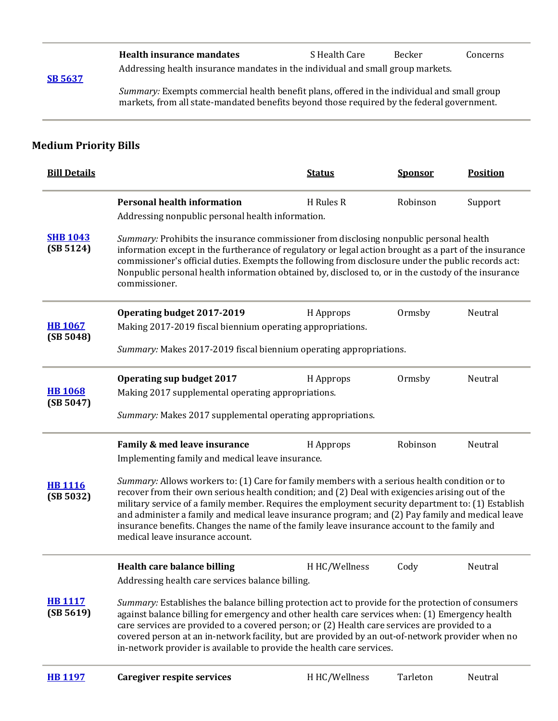|                | Health insurance mandates                                                       | S Health Care | Becker | Concerns |
|----------------|---------------------------------------------------------------------------------|---------------|--------|----------|
| <b>SB 5637</b> | Addressing health insurance mandates in the individual and small group markets. |               |        |          |

*Summary:* Exempts commercial health benefit plans, offered in the individual and small group markets, from all state-mandated benefits beyond those required by the federal government.

#### **Medium Priority Bills**

| <b>Bill Details</b>          |                                                                                                                                                                                                                                                                                                                                                                                                                                                                                                                                                  | <b>Status</b> | <b>Sponsor</b> | <b>Position</b> |  |
|------------------------------|--------------------------------------------------------------------------------------------------------------------------------------------------------------------------------------------------------------------------------------------------------------------------------------------------------------------------------------------------------------------------------------------------------------------------------------------------------------------------------------------------------------------------------------------------|---------------|----------------|-----------------|--|
|                              | <b>Personal health information</b>                                                                                                                                                                                                                                                                                                                                                                                                                                                                                                               | H Rules R     | Robinson       | Support         |  |
|                              | Addressing nonpublic personal health information.                                                                                                                                                                                                                                                                                                                                                                                                                                                                                                |               |                |                 |  |
| <b>SHB 1043</b><br>(SB 5124) | Summary: Prohibits the insurance commissioner from disclosing nonpublic personal health<br>information except in the furtherance of regulatory or legal action brought as a part of the insurance<br>commissioner's official duties. Exempts the following from disclosure under the public records act:<br>Nonpublic personal health information obtained by, disclosed to, or in the custody of the insurance<br>commissioner.                                                                                                                 |               |                |                 |  |
|                              | Operating budget 2017-2019                                                                                                                                                                                                                                                                                                                                                                                                                                                                                                                       | H Approps     | Ormsby         | Neutral         |  |
| <b>HB 1067</b><br>(SB 5048)  | Making 2017-2019 fiscal biennium operating appropriations.                                                                                                                                                                                                                                                                                                                                                                                                                                                                                       |               |                |                 |  |
|                              | Summary: Makes 2017-2019 fiscal biennium operating appropriations.                                                                                                                                                                                                                                                                                                                                                                                                                                                                               |               |                |                 |  |
|                              | <b>Operating sup budget 2017</b>                                                                                                                                                                                                                                                                                                                                                                                                                                                                                                                 | H Approps     | Ormsby         | Neutral         |  |
| <b>HB 1068</b><br>(SB 5047)  | Making 2017 supplemental operating appropriations.                                                                                                                                                                                                                                                                                                                                                                                                                                                                                               |               |                |                 |  |
|                              | Summary: Makes 2017 supplemental operating appropriations.                                                                                                                                                                                                                                                                                                                                                                                                                                                                                       |               |                |                 |  |
|                              | Family & med leave insurance                                                                                                                                                                                                                                                                                                                                                                                                                                                                                                                     | H Approps     | Robinson       | Neutral         |  |
|                              | Implementing family and medical leave insurance.                                                                                                                                                                                                                                                                                                                                                                                                                                                                                                 |               |                |                 |  |
| <b>HB 1116</b><br>(SB 5032)  | Summary: Allows workers to: (1) Care for family members with a serious health condition or to<br>recover from their own serious health condition; and (2) Deal with exigencies arising out of the<br>military service of a family member. Requires the employment security department to: (1) Establish<br>and administer a family and medical leave insurance program; and (2) Pay family and medical leave<br>insurance benefits. Changes the name of the family leave insurance account to the family and<br>medical leave insurance account. |               |                |                 |  |
|                              | <b>Health care balance billing</b>                                                                                                                                                                                                                                                                                                                                                                                                                                                                                                               | H HC/Wellness | Cody           | Neutral         |  |
|                              | Addressing health care services balance billing.                                                                                                                                                                                                                                                                                                                                                                                                                                                                                                 |               |                |                 |  |
| <b>HB 1117</b><br>(SB 5619)  | Summary: Establishes the balance billing protection act to provide for the protection of consumers<br>against balance billing for emergency and other health care services when: (1) Emergency health<br>care services are provided to a covered person; or (2) Health care services are provided to a<br>covered person at an in-network facility, but are provided by an out-of-network provider when no<br>in-network provider is available to provide the health care services.                                                              |               |                |                 |  |
| <b>HB 1197</b>               | <b>Caregiver respite services</b>                                                                                                                                                                                                                                                                                                                                                                                                                                                                                                                | H HC/Wellness | Tarleton       | Neutral         |  |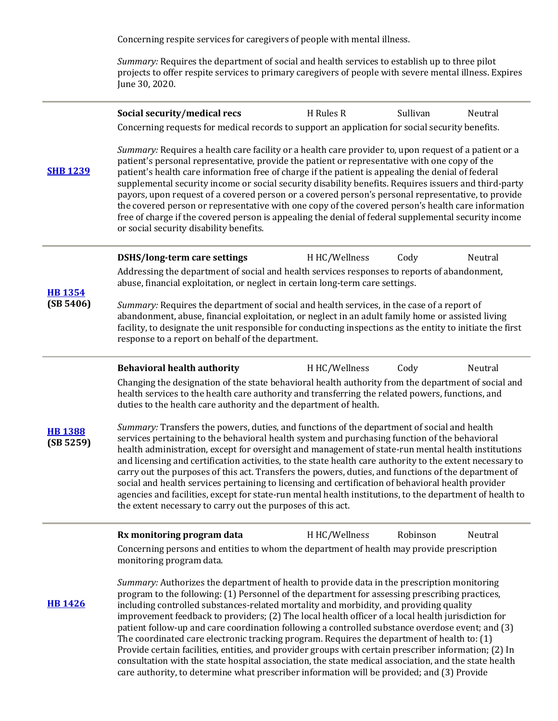Concerning respite services for caregivers of people with mental illness.

*Summary:* Requires the department of social and health services to establish up to three pilot projects to offer respite services to primary caregivers of people with severe mental illness. Expires June 30, 2020.

|                            | Social security/medical recs                                                                                                                                                                                                                                                                                                                                                                                                                                                                                                                                                                                                                                                                                                                                                                                                                                                                                                                 | H Rules R     | Sullivan | Neutral |  |
|----------------------------|----------------------------------------------------------------------------------------------------------------------------------------------------------------------------------------------------------------------------------------------------------------------------------------------------------------------------------------------------------------------------------------------------------------------------------------------------------------------------------------------------------------------------------------------------------------------------------------------------------------------------------------------------------------------------------------------------------------------------------------------------------------------------------------------------------------------------------------------------------------------------------------------------------------------------------------------|---------------|----------|---------|--|
| <b>SHB 1239</b>            | Concerning requests for medical records to support an application for social security benefits.<br>Summary: Requires a health care facility or a health care provider to, upon request of a patient or a<br>patient's personal representative, provide the patient or representative with one copy of the<br>patient's health care information free of charge if the patient is appealing the denial of federal<br>supplemental security income or social security disability benefits. Requires issuers and third-party<br>payors, upon request of a covered person or a covered person's personal representative, to provide<br>the covered person or representative with one copy of the covered person's health care information<br>free of charge if the covered person is appealing the denial of federal supplemental security income<br>or social security disability benefits.                                                      |               |          |         |  |
|                            | <b>DSHS/long-term care settings</b>                                                                                                                                                                                                                                                                                                                                                                                                                                                                                                                                                                                                                                                                                                                                                                                                                                                                                                          | H HC/Wellness | Cody     | Neutral |  |
| <b>HB 1354</b>             | Addressing the department of social and health services responses to reports of abandonment,<br>abuse, financial exploitation, or neglect in certain long-term care settings.                                                                                                                                                                                                                                                                                                                                                                                                                                                                                                                                                                                                                                                                                                                                                                |               |          |         |  |
| (SB 5406)                  | Summary: Requires the department of social and health services, in the case of a report of<br>abandonment, abuse, financial exploitation, or neglect in an adult family home or assisted living<br>facility, to designate the unit responsible for conducting inspections as the entity to initiate the first<br>response to a report on behalf of the department.                                                                                                                                                                                                                                                                                                                                                                                                                                                                                                                                                                           |               |          |         |  |
|                            | <b>Behavioral health authority</b>                                                                                                                                                                                                                                                                                                                                                                                                                                                                                                                                                                                                                                                                                                                                                                                                                                                                                                           | H HC/Wellness | Cody     | Neutral |  |
|                            | Changing the designation of the state behavioral health authority from the department of social and<br>health services to the health care authority and transferring the related powers, functions, and<br>duties to the health care authority and the department of health.                                                                                                                                                                                                                                                                                                                                                                                                                                                                                                                                                                                                                                                                 |               |          |         |  |
| <b>HB1388</b><br>(SB 5259) | Summary: Transfers the powers, duties, and functions of the department of social and health<br>services pertaining to the behavioral health system and purchasing function of the behavioral<br>health administration, except for oversight and management of state-run mental health institutions<br>and licensing and certification activities, to the state health care authority to the extent necessary to<br>carry out the purposes of this act. Transfers the powers, duties, and functions of the department of<br>social and health services pertaining to licensing and certification of behavioral health provider<br>agencies and facilities, except for state-run mental health institutions, to the department of health to<br>the extent necessary to carry out the purposes of this act.                                                                                                                                     |               |          |         |  |
|                            | Rx monitoring program data<br>Concerning persons and entities to whom the department of health may provide prescription                                                                                                                                                                                                                                                                                                                                                                                                                                                                                                                                                                                                                                                                                                                                                                                                                      | H HC/Wellness | Robinson | Neutral |  |
| <b>HB 1426</b>             | monitoring program data.<br>Summary: Authorizes the department of health to provide data in the prescription monitoring<br>program to the following: (1) Personnel of the department for assessing prescribing practices,<br>including controlled substances-related mortality and morbidity, and providing quality<br>improvement feedback to providers; (2) The local health officer of a local health jurisdiction for<br>patient follow-up and care coordination following a controlled substance overdose event; and (3)<br>The coordinated care electronic tracking program. Requires the department of health to: (1)<br>Provide certain facilities, entities, and provider groups with certain prescriber information; (2) In<br>consultation with the state hospital association, the state medical association, and the state health<br>care authority, to determine what prescriber information will be provided; and (3) Provide |               |          |         |  |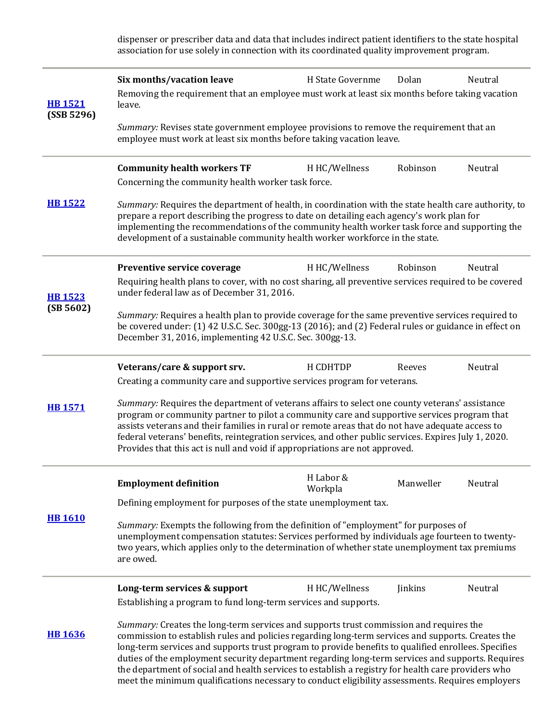dispenser or prescriber data and data that includes indirect patient identifiers to the state hospital association for use solely in connection with its coordinated quality improvement program.

| <b>HB1521</b><br>(SSB 5296) | Six months/vacation leave<br>Removing the requirement that an employee must work at least six months before taking vacation<br>leave.                                                                                                                                                                                                                                                                                                                                                                                                                                                                            | H State Governme     | Dolan     | Neutral |  |
|-----------------------------|------------------------------------------------------------------------------------------------------------------------------------------------------------------------------------------------------------------------------------------------------------------------------------------------------------------------------------------------------------------------------------------------------------------------------------------------------------------------------------------------------------------------------------------------------------------------------------------------------------------|----------------------|-----------|---------|--|
|                             | Summary: Revises state government employee provisions to remove the requirement that an<br>employee must work at least six months before taking vacation leave.                                                                                                                                                                                                                                                                                                                                                                                                                                                  |                      |           |         |  |
|                             | <b>Community health workers TF</b>                                                                                                                                                                                                                                                                                                                                                                                                                                                                                                                                                                               | H HC/Wellness        | Robinson  | Neutral |  |
|                             | Concerning the community health worker task force.                                                                                                                                                                                                                                                                                                                                                                                                                                                                                                                                                               |                      |           |         |  |
| <b>HB 1522</b>              | Summary: Requires the department of health, in coordination with the state health care authority, to<br>prepare a report describing the progress to date on detailing each agency's work plan for<br>implementing the recommendations of the community health worker task force and supporting the<br>development of a sustainable community health worker workforce in the state.                                                                                                                                                                                                                               |                      |           |         |  |
|                             | Preventive service coverage                                                                                                                                                                                                                                                                                                                                                                                                                                                                                                                                                                                      | H HC/Wellness        | Robinson  | Neutral |  |
| <b>HB 1523</b>              | Requiring health plans to cover, with no cost sharing, all preventive services required to be covered<br>under federal law as of December 31, 2016.                                                                                                                                                                                                                                                                                                                                                                                                                                                              |                      |           |         |  |
| (SB 5602)                   | Summary: Requires a health plan to provide coverage for the same preventive services required to<br>be covered under: (1) 42 U.S.C. Sec. 300gg-13 (2016); and (2) Federal rules or guidance in effect on<br>December 31, 2016, implementing 42 U.S.C. Sec. 300gg-13.                                                                                                                                                                                                                                                                                                                                             |                      |           |         |  |
|                             | Veterans/care & support srv.                                                                                                                                                                                                                                                                                                                                                                                                                                                                                                                                                                                     | H CDHTDP             | Reeves    | Neutral |  |
|                             | Creating a community care and supportive services program for veterans.                                                                                                                                                                                                                                                                                                                                                                                                                                                                                                                                          |                      |           |         |  |
| <b>HB1571</b>               | Summary: Requires the department of veterans affairs to select one county veterans' assistance<br>program or community partner to pilot a community care and supportive services program that<br>assists veterans and their families in rural or remote areas that do not have adequate access to<br>federal veterans' benefits, reintegration services, and other public services. Expires July 1, 2020.<br>Provides that this act is null and void if appropriations are not approved.                                                                                                                         |                      |           |         |  |
|                             | <b>Employment definition</b>                                                                                                                                                                                                                                                                                                                                                                                                                                                                                                                                                                                     | H Labor &<br>Workpla | Manweller | Neutral |  |
|                             | Defining employment for purposes of the state unemployment tax.                                                                                                                                                                                                                                                                                                                                                                                                                                                                                                                                                  |                      |           |         |  |
| <b>HB 1610</b>              | Summary: Exempts the following from the definition of "employment" for purposes of<br>unemployment compensation statutes: Services performed by individuals age fourteen to twenty-<br>two years, which applies only to the determination of whether state unemployment tax premiums<br>are owed.                                                                                                                                                                                                                                                                                                                |                      |           |         |  |
|                             | Long-term services & support                                                                                                                                                                                                                                                                                                                                                                                                                                                                                                                                                                                     | H HC/Wellness        | Jinkins   | Neutral |  |
|                             | Establishing a program to fund long-term services and supports.                                                                                                                                                                                                                                                                                                                                                                                                                                                                                                                                                  |                      |           |         |  |
| <b>HB 1636</b>              | Summary: Creates the long-term services and supports trust commission and requires the<br>commission to establish rules and policies regarding long-term services and supports. Creates the<br>long-term services and supports trust program to provide benefits to qualified enrollees. Specifies<br>duties of the employment security department regarding long-term services and supports. Requires<br>the department of social and health services to establish a registry for health care providers who<br>meet the minimum qualifications necessary to conduct eligibility assessments. Requires employers |                      |           |         |  |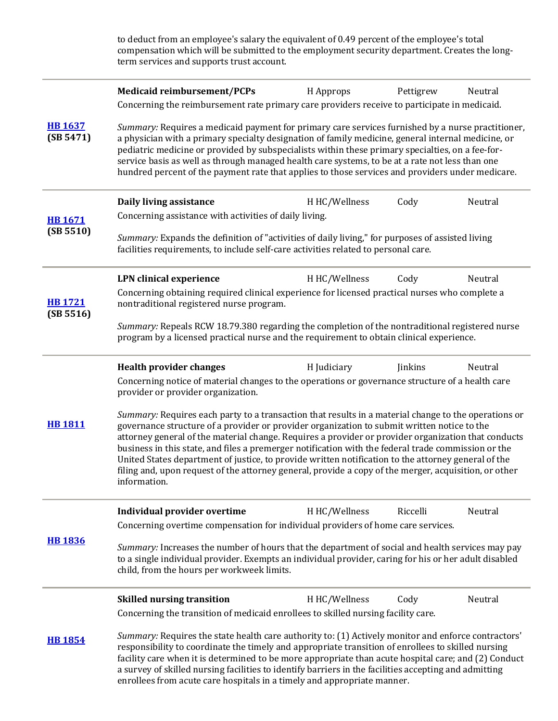|                             | to deduct from an employee's salary the equivalent of 0.49 percent of the employee's total<br>compensation which will be submitted to the employment security department. Creates the long-<br>term services and supports trust account.                                                                                                                                                                                                                                                                                                                                                                                                          |               |           |         |  |
|-----------------------------|---------------------------------------------------------------------------------------------------------------------------------------------------------------------------------------------------------------------------------------------------------------------------------------------------------------------------------------------------------------------------------------------------------------------------------------------------------------------------------------------------------------------------------------------------------------------------------------------------------------------------------------------------|---------------|-----------|---------|--|
|                             | <b>Medicaid reimbursement/PCPs</b>                                                                                                                                                                                                                                                                                                                                                                                                                                                                                                                                                                                                                | H Approps     | Pettigrew | Neutral |  |
|                             | Concerning the reimbursement rate primary care providers receive to participate in medicaid.                                                                                                                                                                                                                                                                                                                                                                                                                                                                                                                                                      |               |           |         |  |
| <b>HB 1637</b><br>(SB 5471) | Summary: Requires a medicaid payment for primary care services furnished by a nurse practitioner,<br>a physician with a primary specialty designation of family medicine, general internal medicine, or<br>pediatric medicine or provided by subspecialists within these primary specialties, on a fee-for-<br>service basis as well as through managed health care systems, to be at a rate not less than one<br>hundred percent of the payment rate that applies to those services and providers under medicare.                                                                                                                                |               |           |         |  |
|                             | Daily living assistance                                                                                                                                                                                                                                                                                                                                                                                                                                                                                                                                                                                                                           | H HC/Wellness | Cody      | Neutral |  |
| <b>HB1671</b>               | Concerning assistance with activities of daily living.                                                                                                                                                                                                                                                                                                                                                                                                                                                                                                                                                                                            |               |           |         |  |
| (SB 5510)                   | Summary: Expands the definition of "activities of daily living," for purposes of assisted living<br>facilities requirements, to include self-care activities related to personal care.                                                                                                                                                                                                                                                                                                                                                                                                                                                            |               |           |         |  |
|                             | <b>LPN</b> clinical experience                                                                                                                                                                                                                                                                                                                                                                                                                                                                                                                                                                                                                    | H HC/Wellness | Cody      | Neutral |  |
| <b>HB1721</b><br>(SB 5516)  | Concerning obtaining required clinical experience for licensed practical nurses who complete a<br>nontraditional registered nurse program.                                                                                                                                                                                                                                                                                                                                                                                                                                                                                                        |               |           |         |  |
|                             | Summary: Repeals RCW 18.79.380 regarding the completion of the nontraditional registered nurse<br>program by a licensed practical nurse and the requirement to obtain clinical experience.                                                                                                                                                                                                                                                                                                                                                                                                                                                        |               |           |         |  |
|                             | <b>Health provider changes</b>                                                                                                                                                                                                                                                                                                                                                                                                                                                                                                                                                                                                                    | H Judiciary   | Jinkins   | Neutral |  |
|                             | Concerning notice of material changes to the operations or governance structure of a health care<br>provider or provider organization.                                                                                                                                                                                                                                                                                                                                                                                                                                                                                                            |               |           |         |  |
| <b>HB1811</b>               | Summary: Requires each party to a transaction that results in a material change to the operations or<br>governance structure of a provider or provider organization to submit written notice to the<br>attorney general of the material change. Requires a provider or provider organization that conducts<br>business in this state, and files a premerger notification with the federal trade commission or the<br>United States department of justice, to provide written notification to the attorney general of the<br>filing and, upon request of the attorney general, provide a copy of the merger, acquisition, or other<br>information. |               |           |         |  |
|                             | Individual provider overtime                                                                                                                                                                                                                                                                                                                                                                                                                                                                                                                                                                                                                      | H HC/Wellness | Riccelli  | Neutral |  |
|                             | Concerning overtime compensation for individual providers of home care services.                                                                                                                                                                                                                                                                                                                                                                                                                                                                                                                                                                  |               |           |         |  |
| <b>HB 1836</b>              | Summary: Increases the number of hours that the department of social and health services may pay<br>to a single individual provider. Exempts an individual provider, caring for his or her adult disabled<br>child, from the hours per workweek limits.                                                                                                                                                                                                                                                                                                                                                                                           |               |           |         |  |
|                             | <b>Skilled nursing transition</b>                                                                                                                                                                                                                                                                                                                                                                                                                                                                                                                                                                                                                 | H HC/Wellness | Cody      | Neutral |  |
|                             | Concerning the transition of medicaid enrollees to skilled nursing facility care.                                                                                                                                                                                                                                                                                                                                                                                                                                                                                                                                                                 |               |           |         |  |
| <b>HB 1854</b>              | Summary: Requires the state health care authority to: (1) Actively monitor and enforce contractors'<br>responsibility to coordinate the timely and appropriate transition of enrollees to skilled nursing<br>facility care when it is determined to be more appropriate than acute hospital care; and (2) Conduct<br>a survey of skilled nursing facilities to identify barriers in the facilities accepting and admitting<br>enrollees from acute care hospitals in a timely and appropriate manner.                                                                                                                                             |               |           |         |  |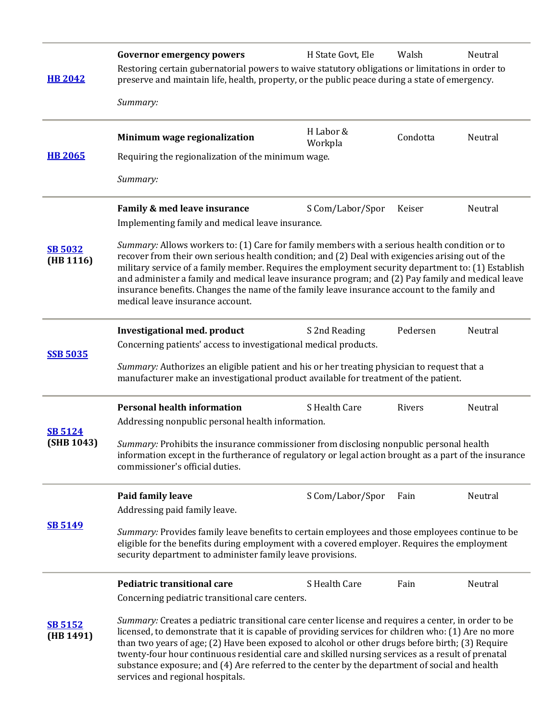| <b>HB 2042</b>               | <b>Governor emergency powers</b><br>Restoring certain gubernatorial powers to waive statutory obligations or limitations in order to<br>preserve and maintain life, health, property, or the public peace during a state of emergency.<br>Summary:                                                                                                                                                                                                                                                                                                                                                                                                                            | H State Govt, Ele    | Walsh    | Neutral |  |
|------------------------------|-------------------------------------------------------------------------------------------------------------------------------------------------------------------------------------------------------------------------------------------------------------------------------------------------------------------------------------------------------------------------------------------------------------------------------------------------------------------------------------------------------------------------------------------------------------------------------------------------------------------------------------------------------------------------------|----------------------|----------|---------|--|
| <b>HB 2065</b>               | Minimum wage regionalization<br>Requiring the regionalization of the minimum wage.<br>Summary:                                                                                                                                                                                                                                                                                                                                                                                                                                                                                                                                                                                | H Labor &<br>Workpla | Condotta | Neutral |  |
| <b>SB 5032</b><br>(HB 1116)  | Family & med leave insurance<br>S Com/Labor/Spor<br>Keiser<br>Neutral<br>Implementing family and medical leave insurance.<br>Summary: Allows workers to: (1) Care for family members with a serious health condition or to<br>recover from their own serious health condition; and (2) Deal with exigencies arising out of the<br>military service of a family member. Requires the employment security department to: (1) Establish<br>and administer a family and medical leave insurance program; and (2) Pay family and medical leave<br>insurance benefits. Changes the name of the family leave insurance account to the family and<br>medical leave insurance account. |                      |          |         |  |
| <b>SSB 5035</b>              | <b>Investigational med. product</b><br>Pedersen<br>Neutral<br>S 2nd Reading<br>Concerning patients' access to investigational medical products.<br>Summary: Authorizes an eligible patient and his or her treating physician to request that a<br>manufacturer make an investigational product available for treatment of the patient.                                                                                                                                                                                                                                                                                                                                        |                      |          |         |  |
| <b>SB 5124</b><br>(SHB 1043) | <b>Personal health information</b><br>S Health Care<br>Rivers<br>Neutral<br>Addressing nonpublic personal health information.<br>Summary: Prohibits the insurance commissioner from disclosing nonpublic personal health<br>information except in the furtherance of regulatory or legal action brought as a part of the insurance<br>commissioner's official duties.                                                                                                                                                                                                                                                                                                         |                      |          |         |  |
| <b>SB 5149</b>               | S Com/Labor/Spor<br>Neutral<br>Paid family leave<br>Fain<br>Addressing paid family leave.<br>Summary: Provides family leave benefits to certain employees and those employees continue to be<br>eligible for the benefits during employment with a covered employer. Requires the employment<br>security department to administer family leave provisions.                                                                                                                                                                                                                                                                                                                    |                      |          |         |  |
| <b>SB 5152</b><br>(HB 1491)  | <b>Pediatric transitional care</b><br>Concerning pediatric transitional care centers.<br>Summary: Creates a pediatric transitional care center license and requires a center, in order to be<br>licensed, to demonstrate that it is capable of providing services for children who: (1) Are no more<br>than two years of age; (2) Have been exposed to alcohol or other drugs before birth; (3) Require<br>twenty-four hour continuous residential care and skilled nursing services as a result of prenatal<br>substance exposure; and (4) Are referred to the center by the department of social and health<br>services and regional hospitals.                             | S Health Care        | Fain     | Neutral |  |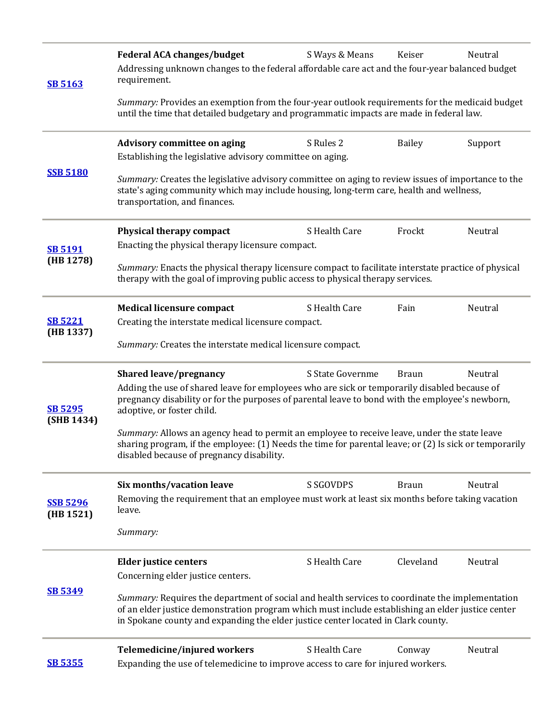| <b>SB 5163</b>               | <b>Federal ACA changes/budget</b><br>Addressing unknown changes to the federal affordable care act and the four-year balanced budget<br>requirement.                                                                                                                                      | S Ways & Means   | Keiser        | Neutral |  |
|------------------------------|-------------------------------------------------------------------------------------------------------------------------------------------------------------------------------------------------------------------------------------------------------------------------------------------|------------------|---------------|---------|--|
|                              | Summary: Provides an exemption from the four-year outlook requirements for the medicaid budget<br>until the time that detailed budgetary and programmatic impacts are made in federal law.                                                                                                |                  |               |         |  |
|                              | <b>Advisory committee on aging</b><br>Establishing the legislative advisory committee on aging.                                                                                                                                                                                           | S Rules 2        | <b>Bailey</b> | Support |  |
| <b>SSB 5180</b>              | Summary: Creates the legislative advisory committee on aging to review issues of importance to the<br>state's aging community which may include housing, long-term care, health and wellness,<br>transportation, and finances.                                                            |                  |               |         |  |
|                              | Physical therapy compact                                                                                                                                                                                                                                                                  | S Health Care    | Frockt        | Neutral |  |
| <b>SB 5191</b><br>(HB 1278)  | Enacting the physical therapy licensure compact.<br>Summary: Enacts the physical therapy licensure compact to facilitate interstate practice of physical<br>therapy with the goal of improving public access to physical therapy services.                                                |                  |               |         |  |
|                              | <b>Medical licensure compact</b>                                                                                                                                                                                                                                                          | S Health Care    | Fain          | Neutral |  |
| <b>SB 5221</b><br>(HB 1337)  | Creating the interstate medical licensure compact.<br>Summary: Creates the interstate medical licensure compact.                                                                                                                                                                          |                  |               |         |  |
|                              | <b>Shared leave/pregnancy</b>                                                                                                                                                                                                                                                             | S State Governme | <b>Braun</b>  | Neutral |  |
| <b>SB 5295</b><br>(SHB 1434) | Adding the use of shared leave for employees who are sick or temporarily disabled because of<br>pregnancy disability or for the purposes of parental leave to bond with the employee's newborn,<br>adoptive, or foster child.                                                             |                  |               |         |  |
|                              | Summary: Allows an agency head to permit an employee to receive leave, under the state leave<br>sharing program, if the employee: (1) Needs the time for parental leave; or (2) Is sick or temporarily<br>disabled because of pregnancy disability.                                       |                  |               |         |  |
|                              | Six months/vacation leave                                                                                                                                                                                                                                                                 | <b>S SGOVDPS</b> | <b>Braun</b>  | Neutral |  |
| <b>SSB 5296</b><br>(HB 1521) | Removing the requirement that an employee must work at least six months before taking vacation<br>leave.                                                                                                                                                                                  |                  |               |         |  |
|                              | Summary:                                                                                                                                                                                                                                                                                  |                  |               |         |  |
|                              | <b>Elder justice centers</b>                                                                                                                                                                                                                                                              | S Health Care    | Cleveland     | Neutral |  |
|                              | Concerning elder justice centers.                                                                                                                                                                                                                                                         |                  |               |         |  |
| <b>SB 5349</b>               | Summary: Requires the department of social and health services to coordinate the implementation<br>of an elder justice demonstration program which must include establishing an elder justice center<br>in Spokane county and expanding the elder justice center located in Clark county. |                  |               |         |  |
|                              | Telemedicine/injured workers                                                                                                                                                                                                                                                              | S Health Care    | Conway        | Neutral |  |
| <u>SB 5355</u>               | Expanding the use of telemedicine to improve access to care for injured workers.                                                                                                                                                                                                          |                  |               |         |  |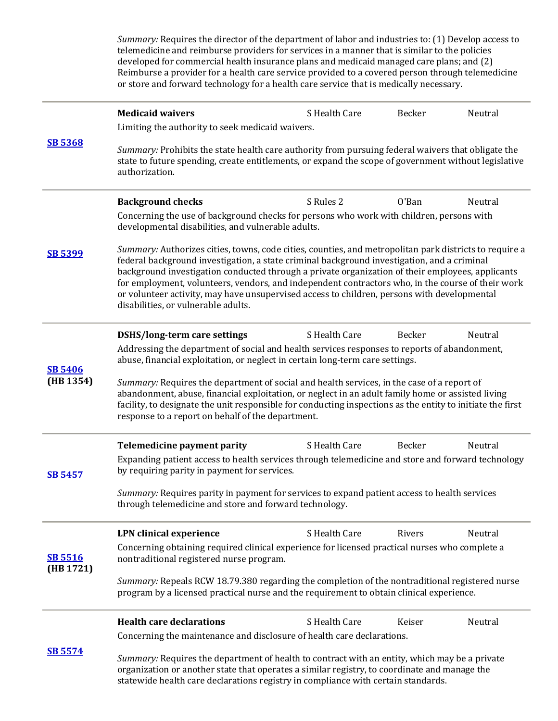|                             | <i>Summary:</i> Requires the director of the department of labor and industries to: (1) Develop access to<br>telemedicine and reimburse providers for services in a manner that is similar to the policies<br>developed for commercial health insurance plans and medicaid managed care plans; and (2)<br>Reimburse a provider for a health care service provided to a covered person through telemedicine<br>or store and forward technology for a health care service that is medically necessary.                                                 |               |        |         |  |
|-----------------------------|------------------------------------------------------------------------------------------------------------------------------------------------------------------------------------------------------------------------------------------------------------------------------------------------------------------------------------------------------------------------------------------------------------------------------------------------------------------------------------------------------------------------------------------------------|---------------|--------|---------|--|
|                             | <b>Medicaid waivers</b>                                                                                                                                                                                                                                                                                                                                                                                                                                                                                                                              | S Health Care | Becker | Neutral |  |
|                             | Limiting the authority to seek medicaid waivers.                                                                                                                                                                                                                                                                                                                                                                                                                                                                                                     |               |        |         |  |
| <b>SB 5368</b>              | Summary: Prohibits the state health care authority from pursuing federal waivers that obligate the<br>state to future spending, create entitlements, or expand the scope of government without legislative<br>authorization.                                                                                                                                                                                                                                                                                                                         |               |        |         |  |
|                             | <b>Background checks</b>                                                                                                                                                                                                                                                                                                                                                                                                                                                                                                                             | S Rules 2     | O'Ban  | Neutral |  |
|                             | Concerning the use of background checks for persons who work with children, persons with<br>developmental disabilities, and vulnerable adults.                                                                                                                                                                                                                                                                                                                                                                                                       |               |        |         |  |
| <b>SB 5399</b>              | Summary: Authorizes cities, towns, code cities, counties, and metropolitan park districts to require a<br>federal background investigation, a state criminal background investigation, and a criminal<br>background investigation conducted through a private organization of their employees, applicants<br>for employment, volunteers, vendors, and independent contractors who, in the course of their work<br>or volunteer activity, may have unsupervised access to children, persons with developmental<br>disabilities, or vulnerable adults. |               |        |         |  |
|                             | <b>DSHS/long-term care settings</b>                                                                                                                                                                                                                                                                                                                                                                                                                                                                                                                  | S Health Care | Becker | Neutral |  |
| <b>SB 5406</b>              | Addressing the department of social and health services responses to reports of abandonment,<br>abuse, financial exploitation, or neglect in certain long-term care settings.                                                                                                                                                                                                                                                                                                                                                                        |               |        |         |  |
| (HB 1354)                   | Summary: Requires the department of social and health services, in the case of a report of<br>abandonment, abuse, financial exploitation, or neglect in an adult family home or assisted living<br>facility, to designate the unit responsible for conducting inspections as the entity to initiate the first<br>response to a report on behalf of the department.                                                                                                                                                                                   |               |        |         |  |
|                             | Telemedicine payment parity                                                                                                                                                                                                                                                                                                                                                                                                                                                                                                                          | S Health Care | Becker | Neutral |  |
| <b>SB 5457</b>              | Expanding patient access to health services through telemedicine and store and forward technology<br>by requiring parity in payment for services.                                                                                                                                                                                                                                                                                                                                                                                                    |               |        |         |  |
|                             | Summary: Requires parity in payment for services to expand patient access to health services<br>through telemedicine and store and forward technology.                                                                                                                                                                                                                                                                                                                                                                                               |               |        |         |  |
|                             | <b>LPN</b> clinical experience                                                                                                                                                                                                                                                                                                                                                                                                                                                                                                                       | S Health Care | Rivers | Neutral |  |
| <b>SB 5516</b><br>(HB 1721) | Concerning obtaining required clinical experience for licensed practical nurses who complete a<br>nontraditional registered nurse program.                                                                                                                                                                                                                                                                                                                                                                                                           |               |        |         |  |
|                             | Summary: Repeals RCW 18.79.380 regarding the completion of the nontraditional registered nurse<br>program by a licensed practical nurse and the requirement to obtain clinical experience.                                                                                                                                                                                                                                                                                                                                                           |               |        |         |  |
|                             | <b>Health care declarations</b>                                                                                                                                                                                                                                                                                                                                                                                                                                                                                                                      | S Health Care | Keiser | Neutral |  |
|                             | Concerning the maintenance and disclosure of health care declarations.                                                                                                                                                                                                                                                                                                                                                                                                                                                                               |               |        |         |  |
| <b>SB 5574</b>              | Summary: Requires the department of health to contract with an entity, which may be a private<br>organization or another state that operates a similar registry, to coordinate and manage the<br>statewide health care declarations registry in compliance with certain standards.                                                                                                                                                                                                                                                                   |               |        |         |  |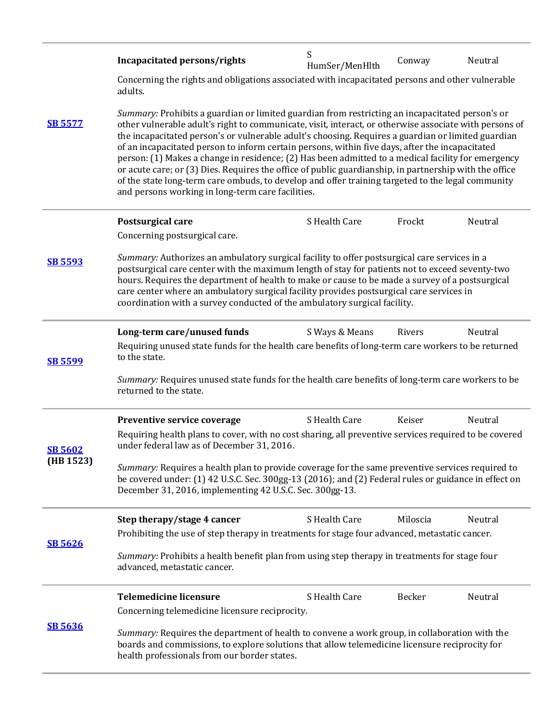|                | Incapacitated persons/rights                                                                                                                                                                                                                                                                                                                                                                                                                                                                                                                                                                                                                                                                                                                                                                 | S<br>HumSer/MenHlth | Conway   | Neutral |  |
|----------------|----------------------------------------------------------------------------------------------------------------------------------------------------------------------------------------------------------------------------------------------------------------------------------------------------------------------------------------------------------------------------------------------------------------------------------------------------------------------------------------------------------------------------------------------------------------------------------------------------------------------------------------------------------------------------------------------------------------------------------------------------------------------------------------------|---------------------|----------|---------|--|
|                | Concerning the rights and obligations associated with incapacitated persons and other vulnerable<br>adults.                                                                                                                                                                                                                                                                                                                                                                                                                                                                                                                                                                                                                                                                                  |                     |          |         |  |
| <b>SB 5577</b> | Summary: Prohibits a guardian or limited guardian from restricting an incapacitated person's or<br>other vulnerable adult's right to communicate, visit, interact, or otherwise associate with persons of<br>the incapacitated person's or vulnerable adult's choosing. Requires a guardian or limited guardian<br>of an incapacitated person to inform certain persons, within five days, after the incapacitated<br>person: (1) Makes a change in residence; (2) Has been admitted to a medical facility for emergency<br>or acute care; or (3) Dies. Requires the office of public guardianship, in partnership with the office<br>of the state long-term care ombuds, to develop and offer training targeted to the legal community<br>and persons working in long-term care facilities. |                     |          |         |  |
|                | Postsurgical care                                                                                                                                                                                                                                                                                                                                                                                                                                                                                                                                                                                                                                                                                                                                                                            | S Health Care       | Frockt   | Neutral |  |
| <b>SB 5593</b> | Concerning postsurgical care.<br>Summary: Authorizes an ambulatory surgical facility to offer postsurgical care services in a<br>postsurgical care center with the maximum length of stay for patients not to exceed seventy-two<br>hours. Requires the department of health to make or cause to be made a survey of a postsurgical<br>care center where an ambulatory surgical facility provides postsurgical care services in<br>coordination with a survey conducted of the ambulatory surgical facility.                                                                                                                                                                                                                                                                                 |                     |          |         |  |
|                | Long-term care/unused funds                                                                                                                                                                                                                                                                                                                                                                                                                                                                                                                                                                                                                                                                                                                                                                  | S Ways & Means      | Rivers   | Neutral |  |
| <b>SB 5599</b> | Requiring unused state funds for the health care benefits of long-term care workers to be returned<br>to the state.                                                                                                                                                                                                                                                                                                                                                                                                                                                                                                                                                                                                                                                                          |                     |          |         |  |
|                | Summary: Requires unused state funds for the health care benefits of long-term care workers to be<br>returned to the state.                                                                                                                                                                                                                                                                                                                                                                                                                                                                                                                                                                                                                                                                  |                     |          |         |  |
|                | Preventive service coverage                                                                                                                                                                                                                                                                                                                                                                                                                                                                                                                                                                                                                                                                                                                                                                  | S Health Care       | Keiser   | Neutral |  |
| <b>SB 5602</b> | Requiring health plans to cover, with no cost sharing, all preventive services required to be covered<br>under federal law as of December 31, 2016.                                                                                                                                                                                                                                                                                                                                                                                                                                                                                                                                                                                                                                          |                     |          |         |  |
| (HB 1523)      | Summary: Requires a health plan to provide coverage for the same preventive services required to<br>be covered under: (1) 42 U.S.C. Sec. 300gg-13 (2016); and (2) Federal rules or guidance in effect on<br>December 31, 2016, implementing 42 U.S.C. Sec. 300gg-13.                                                                                                                                                                                                                                                                                                                                                                                                                                                                                                                         |                     |          |         |  |
|                | Step therapy/stage 4 cancer                                                                                                                                                                                                                                                                                                                                                                                                                                                                                                                                                                                                                                                                                                                                                                  | S Health Care       | Miloscia | Neutral |  |
| <b>SB 5626</b> | Prohibiting the use of step therapy in treatments for stage four advanced, metastatic cancer.<br>Summary: Prohibits a health benefit plan from using step therapy in treatments for stage four<br>advanced, metastatic cancer.                                                                                                                                                                                                                                                                                                                                                                                                                                                                                                                                                               |                     |          |         |  |
|                | <b>Telemedicine licensure</b>                                                                                                                                                                                                                                                                                                                                                                                                                                                                                                                                                                                                                                                                                                                                                                | S Health Care       | Becker   | Neutral |  |
|                | Concerning telemedicine licensure reciprocity.                                                                                                                                                                                                                                                                                                                                                                                                                                                                                                                                                                                                                                                                                                                                               |                     |          |         |  |
| <b>SB 5636</b> | Summary: Requires the department of health to convene a work group, in collaboration with the<br>boards and commissions, to explore solutions that allow telemedicine licensure reciprocity for<br>health professionals from our border states.                                                                                                                                                                                                                                                                                                                                                                                                                                                                                                                                              |                     |          |         |  |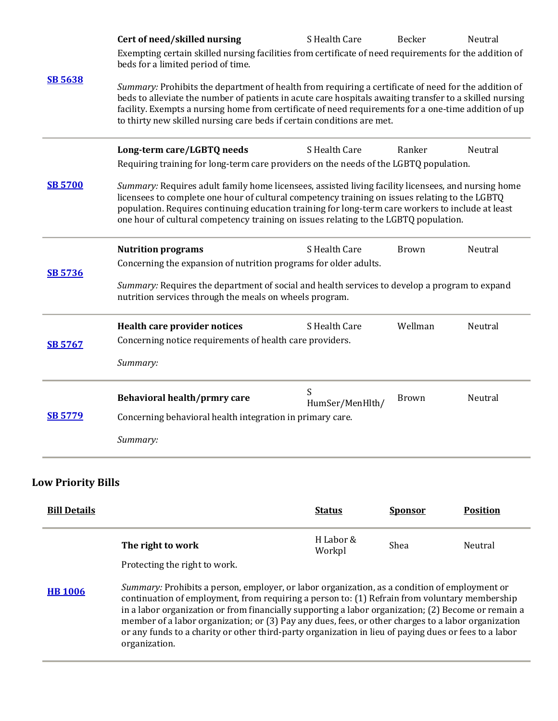| <b>SB 5638</b> | Cert of need/skilled nursing<br>Exempting certain skilled nursing facilities from certificate of need requirements for the addition of<br>beds for a limited period of time.                                                                                                                                                                                                                       | S Health Care        | Becker  | Neutral |  |
|----------------|----------------------------------------------------------------------------------------------------------------------------------------------------------------------------------------------------------------------------------------------------------------------------------------------------------------------------------------------------------------------------------------------------|----------------------|---------|---------|--|
|                | Summary: Prohibits the department of health from requiring a certificate of need for the addition of<br>beds to alleviate the number of patients in acute care hospitals awaiting transfer to a skilled nursing<br>facility. Exempts a nursing home from certificate of need requirements for a one-time addition of up<br>to thirty new skilled nursing care beds if certain conditions are met.  |                      |         |         |  |
|                | Long-term care/LGBTQ needs                                                                                                                                                                                                                                                                                                                                                                         | S Health Care        | Ranker  | Neutral |  |
|                | Requiring training for long-term care providers on the needs of the LGBTQ population.                                                                                                                                                                                                                                                                                                              |                      |         |         |  |
| <b>SB 5700</b> | Summary: Requires adult family home licensees, assisted living facility licensees, and nursing home<br>licensees to complete one hour of cultural competency training on issues relating to the LGBTQ<br>population. Requires continuing education training for long-term care workers to include at least<br>one hour of cultural competency training on issues relating to the LGBTQ population. |                      |         |         |  |
| <b>SB 5736</b> | <b>Nutrition programs</b>                                                                                                                                                                                                                                                                                                                                                                          | S Health Care        | Brown   | Neutral |  |
|                | Concerning the expansion of nutrition programs for older adults.                                                                                                                                                                                                                                                                                                                                   |                      |         |         |  |
|                | Summary: Requires the department of social and health services to develop a program to expand<br>nutrition services through the meals on wheels program.                                                                                                                                                                                                                                           |                      |         |         |  |
| <b>SB 5767</b> | <b>Health care provider notices</b>                                                                                                                                                                                                                                                                                                                                                                | S Health Care        | Wellman | Neutral |  |
|                | Concerning notice requirements of health care providers.                                                                                                                                                                                                                                                                                                                                           |                      |         |         |  |
|                | Summary:                                                                                                                                                                                                                                                                                                                                                                                           |                      |         |         |  |
| <b>SB 5779</b> | Behavioral health/prmry care                                                                                                                                                                                                                                                                                                                                                                       | S<br>HumSer/MenHlth/ | Brown   | Neutral |  |
|                | Concerning behavioral health integration in primary care.                                                                                                                                                                                                                                                                                                                                          |                      |         |         |  |
|                | Summary:                                                                                                                                                                                                                                                                                                                                                                                           |                      |         |         |  |

### **Low Priority Bills**

| <b>Bill Details</b> |                                                                                                                                                                                                                                                                                                                                                                                                                                                                                                                                        | <b>Status</b>       | <b>Sponsor</b> | <b>Position</b> |  |
|---------------------|----------------------------------------------------------------------------------------------------------------------------------------------------------------------------------------------------------------------------------------------------------------------------------------------------------------------------------------------------------------------------------------------------------------------------------------------------------------------------------------------------------------------------------------|---------------------|----------------|-----------------|--|
|                     | The right to work<br>Protecting the right to work.                                                                                                                                                                                                                                                                                                                                                                                                                                                                                     | H Labor &<br>Workpl | Shea           | Neutral         |  |
| <b>HB</b> 1006      | Summary: Prohibits a person, employer, or labor organization, as a condition of employment or<br>continuation of employment, from requiring a person to: (1) Refrain from voluntary membership<br>in a labor organization or from financially supporting a labor organization; (2) Become or remain a<br>member of a labor organization; or (3) Pay any dues, fees, or other charges to a labor organization<br>or any funds to a charity or other third-party organization in lieu of paying dues or fees to a labor<br>organization. |                     |                |                 |  |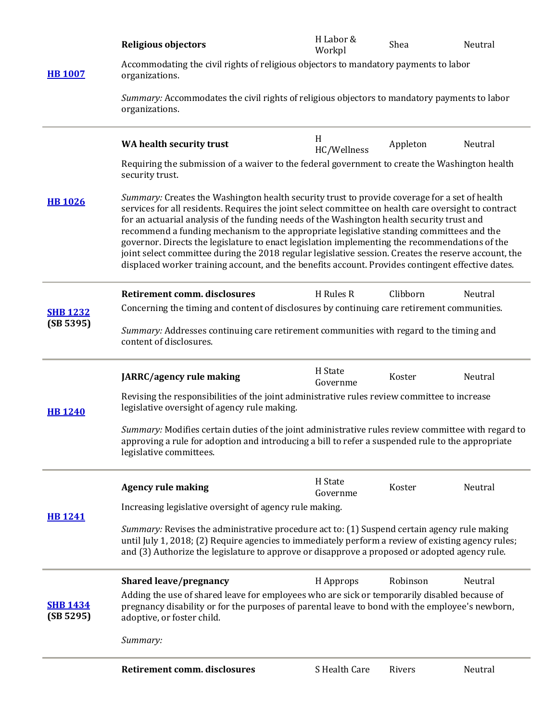| <b>HB 1007</b>               | <b>Religious objectors</b>                                                                                                                                                                                                                                                                                                                                                                                                                                                                                                                                                                                                                                                                                     | H Labor &<br>Workpl | Shea     | Neutral |  |
|------------------------------|----------------------------------------------------------------------------------------------------------------------------------------------------------------------------------------------------------------------------------------------------------------------------------------------------------------------------------------------------------------------------------------------------------------------------------------------------------------------------------------------------------------------------------------------------------------------------------------------------------------------------------------------------------------------------------------------------------------|---------------------|----------|---------|--|
|                              | Accommodating the civil rights of religious objectors to mandatory payments to labor<br>organizations.                                                                                                                                                                                                                                                                                                                                                                                                                                                                                                                                                                                                         |                     |          |         |  |
|                              | Summary: Accommodates the civil rights of religious objectors to mandatory payments to labor<br>organizations.                                                                                                                                                                                                                                                                                                                                                                                                                                                                                                                                                                                                 |                     |          |         |  |
| <b>HB 1026</b>               | WA health security trust                                                                                                                                                                                                                                                                                                                                                                                                                                                                                                                                                                                                                                                                                       | H<br>HC/Wellness    | Appleton | Neutral |  |
|                              | Requiring the submission of a waiver to the federal government to create the Washington health<br>security trust.                                                                                                                                                                                                                                                                                                                                                                                                                                                                                                                                                                                              |                     |          |         |  |
|                              | Summary: Creates the Washington health security trust to provide coverage for a set of health<br>services for all residents. Requires the joint select committee on health care oversight to contract<br>for an actuarial analysis of the funding needs of the Washington health security trust and<br>recommend a funding mechanism to the appropriate legislative standing committees and the<br>governor. Directs the legislature to enact legislation implementing the recommendations of the<br>joint select committee during the 2018 regular legislative session. Creates the reserve account, the<br>displaced worker training account, and the benefits account. Provides contingent effective dates. |                     |          |         |  |
|                              | <b>Retirement comm. disclosures</b>                                                                                                                                                                                                                                                                                                                                                                                                                                                                                                                                                                                                                                                                            | H Rules R           | Clibborn | Neutral |  |
| <b>SHB 1232</b>              | Concerning the timing and content of disclosures by continuing care retirement communities.                                                                                                                                                                                                                                                                                                                                                                                                                                                                                                                                                                                                                    |                     |          |         |  |
| (SB 5395)                    | Summary: Addresses continuing care retirement communities with regard to the timing and<br>content of disclosures.                                                                                                                                                                                                                                                                                                                                                                                                                                                                                                                                                                                             |                     |          |         |  |
| <b>HB 1240</b>               | JARRC/agency rule making                                                                                                                                                                                                                                                                                                                                                                                                                                                                                                                                                                                                                                                                                       | H State<br>Governme | Koster   | Neutral |  |
|                              | Revising the responsibilities of the joint administrative rules review committee to increase<br>legislative oversight of agency rule making.                                                                                                                                                                                                                                                                                                                                                                                                                                                                                                                                                                   |                     |          |         |  |
|                              | Summary: Modifies certain duties of the joint administrative rules review committee with regard to<br>approving a rule for adoption and introducing a bill to refer a suspended rule to the appropriate<br>legislative committees.                                                                                                                                                                                                                                                                                                                                                                                                                                                                             |                     |          |         |  |
| <b>HB1241</b>                | <b>Agency rule making</b>                                                                                                                                                                                                                                                                                                                                                                                                                                                                                                                                                                                                                                                                                      | H State<br>Governme | Koster   | Neutral |  |
|                              | Increasing legislative oversight of agency rule making.                                                                                                                                                                                                                                                                                                                                                                                                                                                                                                                                                                                                                                                        |                     |          |         |  |
|                              | Summary: Revises the administrative procedure act to: (1) Suspend certain agency rule making<br>until July 1, 2018; (2) Require agencies to immediately perform a review of existing agency rules;<br>and (3) Authorize the legislature to approve or disapprove a proposed or adopted agency rule.                                                                                                                                                                                                                                                                                                                                                                                                            |                     |          |         |  |
| <b>SHB 1434</b><br>(SB 5295) | Shared leave/pregnancy                                                                                                                                                                                                                                                                                                                                                                                                                                                                                                                                                                                                                                                                                         | H Approps           | Robinson | Neutral |  |
|                              | Adding the use of shared leave for employees who are sick or temporarily disabled because of<br>pregnancy disability or for the purposes of parental leave to bond with the employee's newborn,<br>adoptive, or foster child.                                                                                                                                                                                                                                                                                                                                                                                                                                                                                  |                     |          |         |  |
|                              | Summary:                                                                                                                                                                                                                                                                                                                                                                                                                                                                                                                                                                                                                                                                                                       |                     |          |         |  |
|                              | <b>Retirement comm. disclosures</b>                                                                                                                                                                                                                                                                                                                                                                                                                                                                                                                                                                                                                                                                            | S Health Care       | Rivers   | Neutral |  |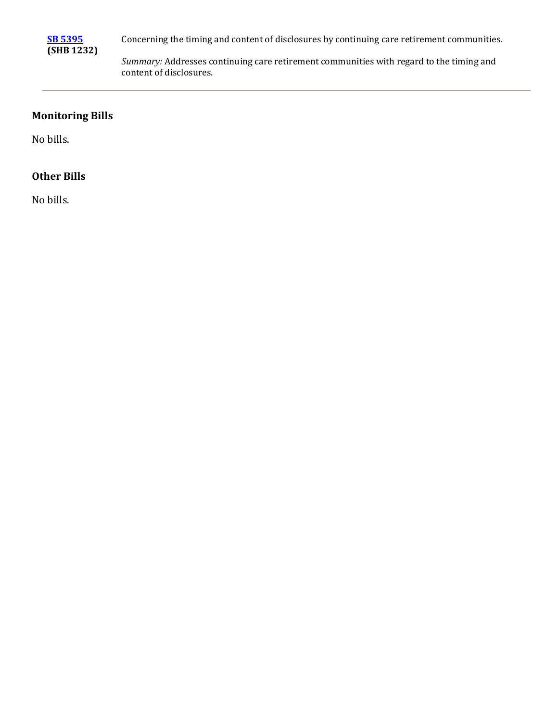

Concerning the timing and content of disclosures by continuing care retirement communities.

*Summary:* Addresses continuing care retirement communities with regard to the timing and content of disclosures.

#### **Monitoring Bills**

No bills.

#### **Other Bills**

No bills.